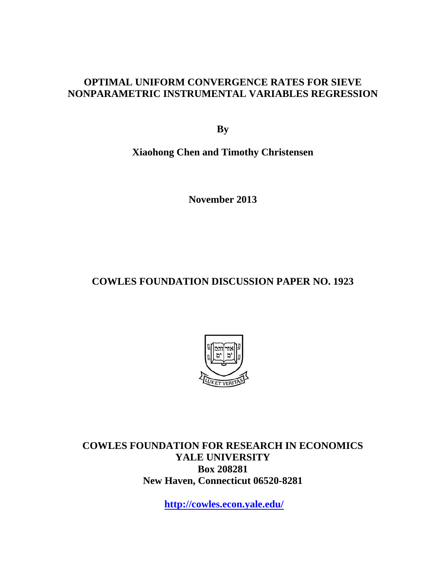# **OPTIMAL UNIFORM CONVERGENCE RATES FOR SIEVE NONPARAMETRIC INSTRUMENTAL VARIABLES REGRESSION**

**By** 

**Xiaohong Chen and Timothy Christensen** 

**November 2013** 

# **COWLES FOUNDATION DISCUSSION PAPER NO. 1923**



**COWLES FOUNDATION FOR RESEARCH IN ECONOMICS YALE UNIVERSITY Box 208281 New Haven, Connecticut 06520-8281** 

**http://cowles.econ.yale.edu/**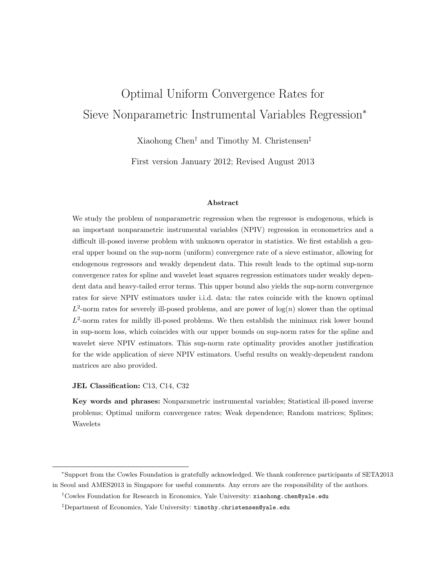# Optimal Uniform Convergence Rates for Sieve Nonparametric Instrumental Variables Regression<sup>∗</sup>

Xiaohong Chen† and Timothy M. Christensen‡

First version January 2012; Revised August 2013

#### Abstract

We study the problem of nonparametric regression when the regressor is endogenous, which is an important nonparametric instrumental variables (NPIV) regression in econometrics and a difficult ill-posed inverse problem with unknown operator in statistics. We first establish a general upper bound on the sup-norm (uniform) convergence rate of a sieve estimator, allowing for endogenous regressors and weakly dependent data. This result leads to the optimal sup-norm convergence rates for spline and wavelet least squares regression estimators under weakly dependent data and heavy-tailed error terms. This upper bound also yields the sup-norm convergence rates for sieve NPIV estimators under i.i.d. data: the rates coincide with the known optimal  $L^2$ -norm rates for severely ill-posed problems, and are power of  $log(n)$  slower than the optimal  $L^2$ -norm rates for mildly ill-posed problems. We then establish the minimax risk lower bound in sup-norm loss, which coincides with our upper bounds on sup-norm rates for the spline and wavelet sieve NPIV estimators. This sup-norm rate optimality provides another justification for the wide application of sieve NPIV estimators. Useful results on weakly-dependent random matrices are also provided.

#### JEL Classification: C13, C14, C32

Key words and phrases: Nonparametric instrumental variables; Statistical ill-posed inverse problems; Optimal uniform convergence rates; Weak dependence; Random matrices; Splines; Wavelets

<sup>∗</sup>Support from the Cowles Foundation is gratefully acknowledged. We thank conference participants of SETA2013 in Seoul and AMES2013 in Singapore for useful comments. Any errors are the responsibility of the authors.

<sup>†</sup>Cowles Foundation for Research in Economics, Yale University: xiaohong.chen@yale.edu

<sup>‡</sup>Department of Economics, Yale University: timothy.christensen@yale.edu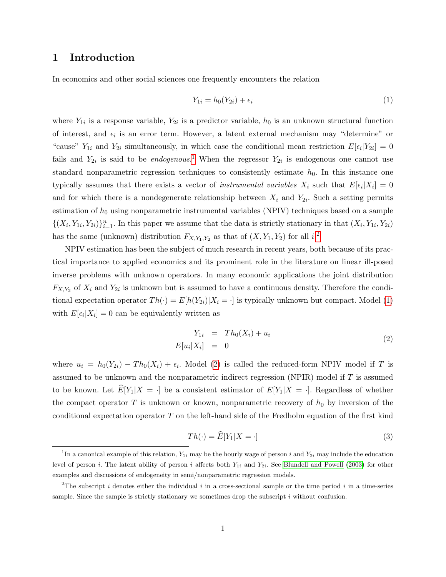## 1 Introduction

In economics and other social sciences one frequently encounters the relation

<span id="page-2-2"></span>
$$
Y_{1i} = h_0(Y_{2i}) + \epsilon_i \tag{1}
$$

where  $Y_{1i}$  is a response variable,  $Y_{2i}$  is a predictor variable,  $h_0$  is an unknown structural function of interest, and  $\epsilon_i$  is an error term. However, a latent external mechanism may "determine" or "cause"  $Y_{1i}$  and  $Y_{2i}$  simultaneously, in which case the conditional mean restriction  $E[\epsilon_i|Y_{2i}] = 0$ fails and  $Y_{2i}$  is said to be *endogenous*.<sup>[1](#page-2-0)</sup> When the regressor  $Y_{2i}$  is endogenous one cannot use standard nonparametric regression techniques to consistently estimate  $h_0$ . In this instance one typically assumes that there exists a vector of *instrumental variables*  $X_i$  such that  $E[\epsilon_i|X_i] = 0$ and for which there is a nondegenerate relationship between  $X_i$  and  $Y_{2i}$ . Such a setting permits estimation of  $h_0$  using nonparametric instrumental variables (NPIV) techniques based on a sample  $\{(X_i,Y_{1i},Y_{2i})\}_{i=1}^n$ . In this paper we assume that the data is strictly stationary in that  $(X_i,Y_{1i},Y_{2i})$ has the same (unknown) distribution  $F_{X,Y_1,Y_2}$  $F_{X,Y_1,Y_2}$  $F_{X,Y_1,Y_2}$  as that of  $(X,Y_1,Y_2)$  for all  $i$ <sup>2</sup>

NPIV estimation has been the subject of much research in recent years, both because of its practical importance to applied economics and its prominent role in the literature on linear ill-posed inverse problems with unknown operators. In many economic applications the joint distribution  $F_{X,Y_2}$  of  $X_i$  and  $Y_{2i}$  is unknown but is assumed to have a continuous density. Therefore the conditional expectation operator  $Th(\cdot) = E[h(Y_{2i})|X_i = \cdot]$  is typically unknown but compact. Model [\(1\)](#page-2-2) with  $E[\epsilon_i|X_i] = 0$  can be equivalently written as

<span id="page-2-3"></span>
$$
Y_{1i} = Th_0(X_i) + u_i
$$
  
\n
$$
E[u_i|X_i] = 0
$$
\n(2)

where  $u_i = h_0(Y_{2i}) - Th_0(X_i) + \epsilon_i$ . Model [\(2\)](#page-2-3) is called the reduced-form NPIV model if T is assumed to be unknown and the nonparametric indirect regression (NPIR) model if  $T$  is assumed to be known. Let  $\hat{E}[Y_1|X = \cdot]$  be a consistent estimator of  $E[Y_1|X = \cdot]$ . Regardless of whether the compact operator  $T$  is unknown or known, nonparametric recovery of  $h_0$  by inversion of the conditional expectation operator  $T$  on the left-hand side of the Fredholm equation of the first kind

$$
Th(\cdot) = \widehat{E}[Y_1 | X = \cdot] \tag{3}
$$

<span id="page-2-0"></span><sup>&</sup>lt;sup>1</sup>In a canonical example of this relation,  $Y_{1i}$  may be the hourly wage of person i and  $Y_{2i}$  may include the education level of person i. The latent ability of person i affects both  $Y_{1i}$  and  $Y_{2i}$ . See [Blundell and Powell](#page-33-0) [\(2003\)](#page-33-0) for other examples and discussions of endogeneity in semi/nonparametric regression models.

<span id="page-2-1"></span><sup>&</sup>lt;sup>2</sup>The subscript i denotes either the individual i in a cross-sectional sample or the time period i in a time-series sample. Since the sample is strictly stationary we sometimes drop the subscript i without confusion.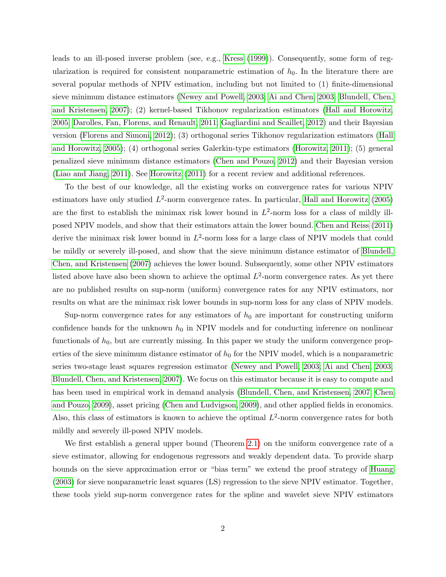leads to an ill-posed inverse problem (see, e.g., [Kress](#page-35-0) [\(1999\)](#page-35-0)). Consequently, some form of regularization is required for consistent nonparametric estimation of  $h_0$ . In the literature there are several popular methods of NPIV estimation, including but not limited to (1) finite-dimensional sieve minimum distance estimators [\(Newey and Powell, 2003;](#page-36-0) [Ai and Chen, 2003;](#page-33-1) [Blundell, Chen,](#page-33-2) [and Kristensen, 2007\)](#page-33-2); (2) kernel-based Tikhonov regularization estimators [\(Hall and Horowitz,](#page-35-1) [2005;](#page-35-1) [Darolles, Fan, Florens, and Renault, 2011;](#page-34-0) [Gagliardini and Scaillet, 2012\)](#page-35-2) and their Bayesian version [\(Florens and Simoni, 2012\)](#page-35-3); (3) orthogonal series Tikhonov regularization estimators [\(Hall](#page-35-1) [and Horowitz, 2005\)](#page-35-1); (4) orthogonal series Galerkin-type estimators [\(Horowitz, 2011\)](#page-35-4); (5) general penalized sieve minimum distance estimators [\(Chen and Pouzo, 2012\)](#page-34-1) and their Bayesian version [\(Liao and Jiang, 2011\)](#page-36-1). See [Horowitz](#page-35-4) [\(2011\)](#page-35-4) for a recent review and additional references.

To the best of our knowledge, all the existing works on convergence rates for various NPIV estimators have only studied  $L^2$ -norm convergence rates. In particular, [Hall and Horowitz](#page-35-1) [\(2005\)](#page-35-1) are the first to establish the minimax risk lower bound in  $L^2$ -norm loss for a class of mildly illposed NPIV models, and show that their estimators attain the lower bound. [Chen and Reiss](#page-34-2) [\(2011\)](#page-34-2) derive the minimax risk lower bound in  $L^2$ -norm loss for a large class of NPIV models that could be mildly or severely ill-posed, and show that the sieve minimum distance estimator of [Blundell,](#page-33-2) [Chen, and Kristensen](#page-33-2) [\(2007\)](#page-33-2) achieves the lower bound. Subsequently, some other NPIV estimators listed above have also been shown to achieve the optimal  $L^2$ -norm convergence rates. As yet there are no published results on sup-norm (uniform) convergence rates for any NPIV estimators, nor results on what are the minimax risk lower bounds in sup-norm loss for any class of NPIV models.

Sup-norm convergence rates for any estimators of  $h_0$  are important for constructing uniform confidence bands for the unknown  $h_0$  in NPIV models and for conducting inference on nonlinear functionals of  $h_0$ , but are currently missing. In this paper we study the uniform convergence properties of the sieve minimum distance estimator of  $h_0$  for the NPIV model, which is a nonparametric series two-stage least squares regression estimator [\(Newey and Powell, 2003;](#page-36-0) [Ai and Chen, 2003;](#page-33-1) [Blundell, Chen, and Kristensen, 2007\)](#page-33-2). We focus on this estimator because it is easy to compute and has been used in empirical work in demand analysis [\(Blundell, Chen, and Kristensen, 2007;](#page-33-2) [Chen](#page-34-3) [and Pouzo, 2009\)](#page-34-3), asset pricing [\(Chen and Ludvigson, 2009\)](#page-34-4), and other applied fields in economics. Also, this class of estimators is known to achieve the optimal  $L^2$ -norm convergence rates for both mildly and severely ill-posed NPIV models.

We first establish a general upper bound (Theorem [2.1\)](#page-8-0) on the uniform convergence rate of a sieve estimator, allowing for endogenous regressors and weakly dependent data. To provide sharp bounds on the sieve approximation error or "bias term" we extend the proof strategy of [Huang](#page-35-5) [\(2003\)](#page-35-5) for sieve nonparametric least squares (LS) regression to the sieve NPIV estimator. Together, these tools yield sup-norm convergence rates for the spline and wavelet sieve NPIV estimators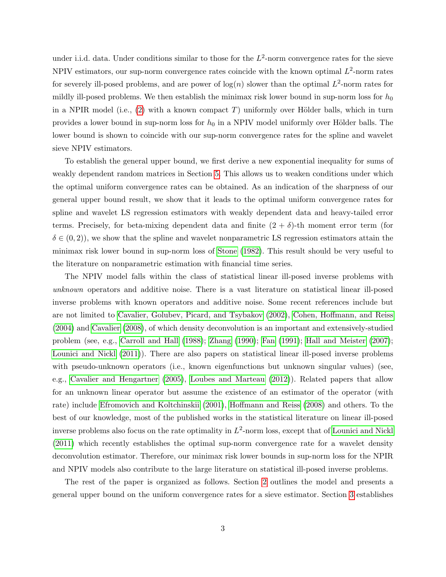under i.i.d. data. Under conditions similar to those for the  $L^2$ -norm convergence rates for the sieve NPIV estimators, our sup-norm convergence rates coincide with the known optimal  $L^2$ -norm rates for severely ill-posed problems, and are power of  $log(n)$  slower than the optimal  $L^2$ -norm rates for mildly ill-posed problems. We then establish the minimax risk lower bound in sup-norm loss for  $h_0$ in a NPIR model (i.e.,  $(2)$  with a known compact T) uniformly over Hölder balls, which in turn provides a lower bound in sup-norm loss for  $h_0$  in a NPIV model uniformly over Hölder balls. The lower bound is shown to coincide with our sup-norm convergence rates for the spline and wavelet sieve NPIV estimators.

To establish the general upper bound, we first derive a new exponential inequality for sums of weakly dependent random matrices in Section [5.](#page-16-0) This allows us to weaken conditions under which the optimal uniform convergence rates can be obtained. As an indication of the sharpness of our general upper bound result, we show that it leads to the optimal uniform convergence rates for spline and wavelet LS regression estimators with weakly dependent data and heavy-tailed error terms. Precisely, for beta-mixing dependent data and finite  $(2 + \delta)$ -th moment error term (for  $\delta \in (0, 2)$ , we show that the spline and wavelet nonparametric LS regression estimators attain the minimax risk lower bound in sup-norm loss of [Stone](#page-36-2) [\(1982\)](#page-36-2). This result should be very useful to the literature on nonparametric estimation with financial time series.

The NPIV model falls within the class of statistical linear ill-posed inverse problems with unknown operators and additive noise. There is a vast literature on statistical linear ill-posed inverse problems with known operators and additive noise. Some recent references include but are not limited to [Cavalier, Golubev, Picard, and Tsybakov](#page-34-5) [\(2002\)](#page-34-5), [Cohen, Hoffmann, and Reiss](#page-34-6) [\(2004\)](#page-34-6) and [Cavalier](#page-34-7) [\(2008\)](#page-34-7), of which density deconvolution is an important and extensively-studied problem (see, e.g., [Carroll and Hall](#page-34-8) [\(1988\)](#page-34-8); [Zhang](#page-36-3) [\(1990\)](#page-36-3); [Fan](#page-35-6) [\(1991\)](#page-35-6); [Hall and Meister](#page-35-7) [\(2007\)](#page-35-7); [Lounici and Nickl](#page-36-4) [\(2011\)](#page-36-4)). There are also papers on statistical linear ill-posed inverse problems with pseudo-unknown operators (i.e., known eigenfunctions but unknown singular values) (see, e.g., [Cavalier and Hengartner](#page-34-9) [\(2005\)](#page-34-9), [Loubes and Marteau](#page-36-5) [\(2012\)](#page-36-5)). Related papers that allow for an unknown linear operator but assume the existence of an estimator of the operator (with rate) include [Efromovich and Koltchinskii](#page-35-8) [\(2001\)](#page-35-8), [Hoffmann and Reiss](#page-35-9) [\(2008\)](#page-35-9) and others. To the best of our knowledge, most of the published works in the statistical literature on linear ill-posed inverse problems also focus on the rate optimality in  $L^2$ -norm loss, except that of [Lounici and Nickl](#page-36-4) [\(2011\)](#page-36-4) which recently establishes the optimal sup-norm convergence rate for a wavelet density deconvolution estimator. Therefore, our minimax risk lower bounds in sup-norm loss for the NPIR and NPIV models also contribute to the large literature on statistical ill-posed inverse problems.

The rest of the paper is organized as follows. Section [2](#page-5-0) outlines the model and presents a general upper bound on the uniform convergence rates for a sieve estimator. Section [3](#page-9-0) establishes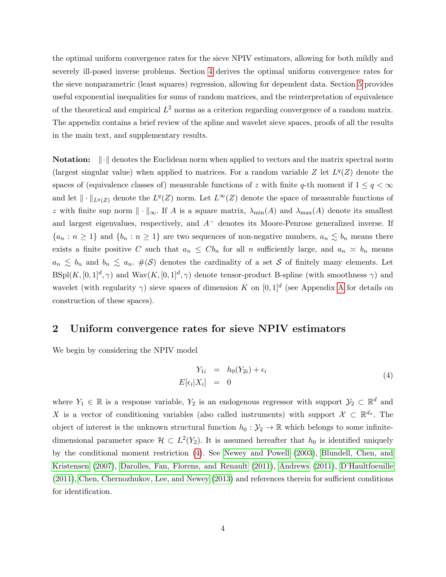the optimal uniform convergence rates for the sieve NPIV estimators, allowing for both mildly and severely ill-posed inverse problems. Section [4](#page-14-0) derives the optimal uniform convergence rates for the sieve nonparametric (least squares) regression, allowing for dependent data. Section [5](#page-16-0) provides useful exponential inequalities for sums of random matrices, and the reinterpretation of equivalence of the theoretical and empirical  $L^2$  norms as a criterion regarding convergence of a random matrix. The appendix contains a brief review of the spline and wavelet sieve spaces, proofs of all the results in the main text, and supplementary results.

**Notation:**  $\|\cdot\|$  denotes the Euclidean norm when applied to vectors and the matrix spectral norm (largest singular value) when applied to matrices. For a random variable Z let  $L^q(Z)$  denote the spaces of (equivalence classes of) measurable functions of z with finite q-th moment if  $1 \le q < \infty$ and let  $\|\cdot\|_{L^q(Z)}$  denote the  $L^q(Z)$  norm. Let  $L^{\infty}(Z)$  denote the space of measurable functions of z with finite sup norm  $\|\cdot\|_{\infty}$ . If A is a square matrix,  $\lambda_{\min}(A)$  and  $\lambda_{\max}(A)$  denote its smallest and largest eigenvalues, respectively, and  $A^-$  denotes its Moore-Penrose generalized inverse. If  ${a_n : n \ge 1}$  and  ${b_n : n \ge 1}$  are two sequences of non-negative numbers,  $a_n \leq b_n$  means there exists a finite positive C such that  $a_n \leq C b_n$  for all n sufficiently large, and  $a_n \leq b_n$  means  $a_n \leq b_n$  and  $b_n \leq a_n$ .  $\#(\mathcal{S})$  denotes the cardinality of a set S of finitely many elements. Let  $B\text{Spl}(K,[0,1]^d,\gamma)$  and  $\text{Wav}(K,[0,1]^d,\gamma)$  denote tensor-product B-spline (with smoothness  $\gamma$ ) and wavelet (with regularity  $\gamma$ ) sieve spaces of dimension K on [0, 1]<sup>d</sup> (see [A](#page-19-0)ppendix A for details on construction of these spaces).

## <span id="page-5-0"></span>2 Uniform convergence rates for sieve NPIV estimators

We begin by considering the NPIV model

<span id="page-5-1"></span>
$$
Y_{1i} = h_0(Y_{2i}) + \epsilon_i
$$
  
\n
$$
E[\epsilon_i | X_i] = 0
$$
\n(4)

where  $Y_1 \in \mathbb{R}$  is a response variable,  $Y_2$  is an endogenous regressor with support  $\mathcal{Y}_2 \subset \mathbb{R}^d$  and X is a vector of conditioning variables (also called instruments) with support  $\mathcal{X} \subset \mathbb{R}^{d_x}$ . The object of interest is the unknown structural function  $h_0 : \mathcal{Y}_2 \to \mathbb{R}$  which belongs to some infinitedimensional parameter space  $\mathcal{H} \subset L^2(Y_2)$ . It is assumed hereafter that  $h_0$  is identified uniquely by the conditional moment restriction [\(4\)](#page-5-1). See [Newey and Powell](#page-36-0) [\(2003\)](#page-36-0), [Blundell, Chen, and](#page-33-2) [Kristensen](#page-33-2) [\(2007\)](#page-33-2), [Darolles, Fan, Florens, and Renault](#page-34-0) [\(2011\)](#page-34-0), [Andrews](#page-33-3) [\(2011\)](#page-33-3), [D'Haultfoeuille](#page-35-10) [\(2011\)](#page-35-10), [Chen, Chernozhukov, Lee, and Newey](#page-34-10) [\(2013\)](#page-34-10) and references therein for sufficient conditions for identification.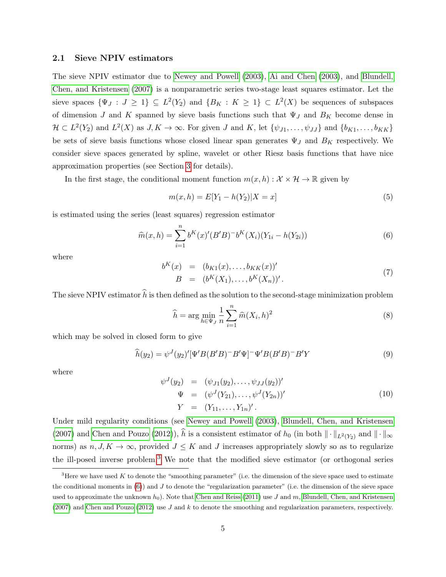## 2.1 Sieve NPIV estimators

The sieve NPIV estimator due to [Newey and Powell](#page-36-0) [\(2003\)](#page-36-0), [Ai and Chen](#page-33-1) [\(2003\)](#page-33-1), and [Blundell,](#page-33-2) [Chen, and Kristensen](#page-33-2) [\(2007\)](#page-33-2) is a nonparametric series two-stage least squares estimator. Let the sieve spaces  $\{\Psi_J : J \geq 1\} \subseteq L^2(Y_2)$  and  $\{B_K : K \geq 1\} \subset L^2(X)$  be sequences of subspaces of dimension J and K spanned by sieve basis functions such that  $\Psi_J$  and  $B_K$  become dense in  $\mathcal{H} \subset L^2(Y_2)$  and  $L^2(X)$  as  $J, K \to \infty$ . For given J and K, let  $\{\psi_{J1}, \ldots, \psi_{JJ}\}\$  and  $\{b_{K1}, \ldots, b_{KK}\}\$ be sets of sieve basis functions whose closed linear span generates  $\Psi_J$  and  $B_K$  respectively. We consider sieve spaces generated by spline, wavelet or other Riesz basis functions that have nice approximation properties (see Section [3](#page-9-0) for details).

In the first stage, the conditional moment function  $m(x, h) : \mathcal{X} \times \mathcal{H} \to \mathbb{R}$  given by

$$
m(x,h) = E[Y_1 - h(Y_2)|X = x]
$$
\n(5)

is estimated using the series (least squares) regression estimator

<span id="page-6-1"></span>
$$
\widehat{m}(x,h) = \sum_{i=1}^{n} b^{K}(x)'(B'B)^{-}b^{K}(X_i)(Y_{1i} - h(Y_{2i}))
$$
\n(6)

where

$$
b^{K}(x) = (b_{K1}(x),...,b_{KK}(x))'
$$
  
\n
$$
B = (b^{K}(X_{1}),...,b^{K}(X_{n}))'.
$$
\n(7)

The sieve NPIV estimator  $\hat{h}$  is then defined as the solution to the second-stage minimization problem

$$
\widehat{h} = \arg\min_{h \in \Psi_J} \frac{1}{n} \sum_{i=1}^n \widehat{m}(X_i, h)^2
$$
\n(8)

which may be solved in closed form to give

$$
\widehat{h}(y_2) = \psi^J(y_2)' [\Psi'B(B'B)^{-}B'\Psi]^{-} \Psi'B(B'B)^{-}B'Y
$$
\n(9)

where

$$
\psi^{J}(y_{2}) = (\psi_{J1}(y_{2}), \dots, \psi_{JJ}(y_{2}))'
$$
\n
$$
\Psi = (\psi^{J}(Y_{21}), \dots, \psi^{J}(Y_{2n}))'
$$
\n
$$
Y = (Y_{11}, \dots, Y_{1n})'.
$$
\n(10)

Under mild regularity conditions (see [Newey and Powell](#page-36-0) [\(2003\)](#page-36-0), [Blundell, Chen, and Kristensen](#page-33-2) [\(2007\)](#page-33-2) and [Chen and Pouzo](#page-34-1) [\(2012\)](#page-34-1)),  $\hat{h}$  is a consistent estimator of  $h_0$  (in both  $\|\cdot\|_{L^2(Y_2)}$  and  $\|\cdot\|_{\infty}$ norms) as  $n, J, K \to \infty$ , provided  $J \leq K$  and J increases appropriately slowly so as to regularize the ill-posed inverse problem.[3](#page-6-0) We note that the modified sieve estimator (or orthogonal series

<span id="page-6-0"></span><sup>&</sup>lt;sup>3</sup>Here we have used K to denote the "smoothing parameter" (i.e. the dimension of the sieve space used to estimate the conditional moments in  $(6)$ ) and J to denote the "regularization parameter" (i.e. the dimension of the sieve space used to approximate the unknown  $h_0$ ). Note that [Chen and Reiss](#page-34-2) [\(2011\)](#page-34-2) use J and m, [Blundell, Chen, and Kristensen](#page-33-2) [\(2007\)](#page-33-2) and [Chen and Pouzo](#page-34-1) [\(2012\)](#page-34-1) use J and k to denote the smoothing and regularization parameters, respectively.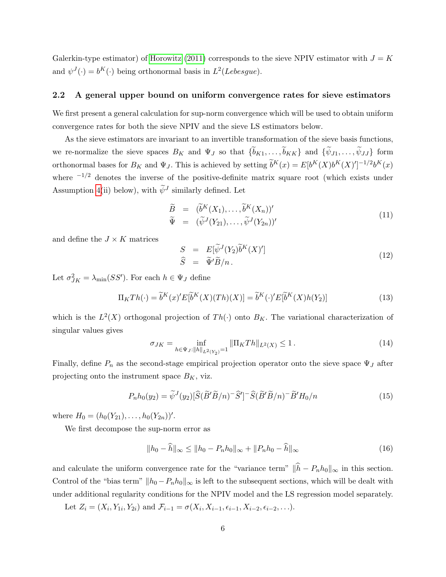Galerkin-type estimator) of [Horowitz](#page-35-4) [\(2011\)](#page-35-4) corresponds to the sieve NPIV estimator with  $J = K$ and  $\psi^J(\cdot) = b^K(\cdot)$  being orthonormal basis in  $L^2(Lebesgue)$ .

#### 2.2 A general upper bound on uniform convergence rates for sieve estimators

We first present a general calculation for sup-norm convergence which will be used to obtain uniform convergence rates for both the sieve NPIV and the sieve LS estimators below.

As the sieve estimators are invariant to an invertible transformation of the sieve basis functions, we re-normalize the sieve spaces  $B_K$  and  $\Psi_J$  so that  $\{b_{K1}, \ldots, b_{KK}\}\$  and  $\{\psi_{J1}, \ldots, \psi_{JJ}\}\$ form orthonormal bases for  $B_K$  and  $\Psi_J$ . This is achieved by setting  $\tilde{b}^K(x) = E[b^K(X)b^K(X)]^{-1/2}b^K(x)$ where  $-1/2$  denotes the inverse of the positive-definite matrix square root (which exists under Assumption [4\(](#page-8-1)ii) below), with  $\widetilde{\psi}^J$  similarly defined. Let

$$
\widetilde{B} = (\widetilde{b}^K(X_1), \dots, \widetilde{b}^K(X_n))'
$$
\n
$$
\widetilde{\Psi} = (\widetilde{\psi}^J(Y_{21}), \dots, \widetilde{\psi}^J(Y_{2n}))'
$$
\n(11)

and define the  $J \times K$  matrices

<span id="page-7-1"></span>
$$
S = E[\widetilde{\psi}^{J}(Y_{2})\widetilde{b}^{K}(X)'] \n\widehat{S} = \widetilde{\Psi}'\widetilde{B}/n.
$$
\n(12)

Let  $\sigma_{JK}^2 = \lambda_{\min}(SS')$ . For each  $h \in \Psi_J$  define

$$
\Pi_K Th(\cdot) = \tilde{b}^K(x)' E[\tilde{b}^K(X)(Th)(X)] = \tilde{b}^K(\cdot)' E[\tilde{b}^K(X)h(Y_2)] \tag{13}
$$

which is the  $L^2(X)$  orthogonal projection of  $Th(\cdot)$  onto  $B_K$ . The variational characterization of singular values gives

$$
\sigma_{JK} = \inf_{h \in \Psi_J: \|h\|_{L^2(Y_2)} = 1} \|\Pi_K Th\|_{L^2(X)} \le 1.
$$
\n(14)

Finally, define  $P_n$  as the second-stage empirical projection operator onto the sieve space  $\Psi_J$  after projecting onto the instrument space  $B_K$ , viz.

$$
P_n h_0(y_2) = \widetilde{\psi}^J(y_2) [\widehat{S}(\widetilde{B}'\widetilde{B}/n)^{-}\widehat{S}']^{-}\widehat{S}(\widetilde{B}'\widetilde{B}/n)^{-}\widetilde{B}'H_0/n
$$
\n(15)

where  $H_0 = (h_0(Y_{21}), \ldots, h_0(Y_{2n}))'$ .

We first decompose the sup-norm error as

$$
||h_0 - \hat{h}||_{\infty} \le ||h_0 - P_n h_0||_{\infty} + ||P_n h_0 - \hat{h}||_{\infty}
$$
\n(16)

and calculate the uniform convergence rate for the "variance term"  $\|\hat{h} - P_n h_0\|_{\infty}$  in this section. Control of the "bias term"  $||h_0 - P_nh_0||_{\infty}$  is left to the subsequent sections, which will be dealt with under additional regularity conditions for the NPIV model and the LS regression model separately.

<span id="page-7-0"></span>Let  $Z_i = (X_i, Y_{1i}, Y_{2i})$  and  $\mathcal{F}_{i-1} = \sigma(X_i, X_{i-1}, \epsilon_{i-1}, X_{i-2}, \epsilon_{i-2}, \ldots)$ .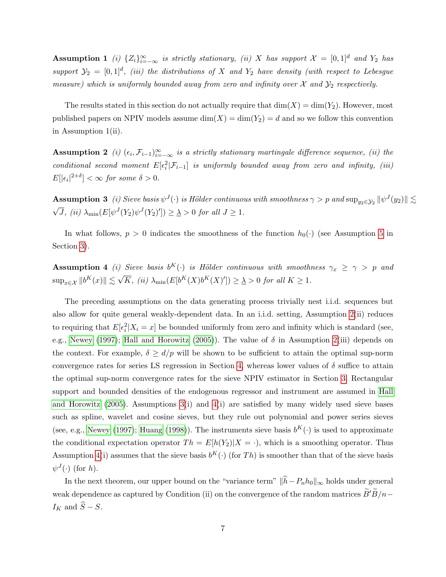**Assumption 1** (i)  $\{Z_i\}_{i=-\infty}^{\infty}$  is strictly stationary, (ii) X has support  $\mathcal{X} = [0,1]^d$  and  $Y_2$  has support  $\mathcal{Y}_2 = [0,1]^d$ , (iii) the distributions of X and Y<sub>2</sub> have density (with respect to Lebesgue measure) which is uniformly bounded away from zero and infinity over  $\mathcal X$  and  $\mathcal Y_2$  respectively.

The results stated in this section do not actually require that  $\dim(X) = \dim(Y_2)$ . However, most published papers on NPIV models assume  $\dim(X) = \dim(Y_2) = d$  and so we follow this convention in Assumption 1(ii).

<span id="page-8-2"></span>**Assumption 2** (i)  $(\epsilon_i, \mathcal{F}_{i-1})_{i=-\infty}^{\infty}$  is a strictly stationary martingale difference sequence, (ii) the conditional second moment  $E[\epsilon_i^2 | \mathcal{F}_{i-1}]$  is uniformly bounded away from zero and infinity, (iii)  $E[|\epsilon_i|^{2+\delta}] < \infty$  for some  $\delta > 0$ .

<span id="page-8-3"></span> ${\bf Assumption~3}~~(i)$  Sieve basis  $\psi^J(\cdot)$  is Hölder continuous with smoothness  $\gamma>p$  and  $\sup_{y_2\in\mathcal{Y}_2} \|\psi^J(y_2)\|\lesssim$ √  $\overline{J}$ , (ii)  $\lambda_{\min}(E[\psi^J(Y_2)\psi^J(Y_2)']) \geq \underline{\lambda} > 0$  for all  $J \geq 1$ .

In what follows,  $p > 0$  indicates the smoothness of the function  $h_0(\cdot)$  (see Assumption [5](#page-9-1) in Section [3\)](#page-9-0).

<span id="page-8-1"></span>**Assumption 4** (i) Sieve basis  $b^K(\cdot)$  is Hölder continuous with smoothness  $\gamma_x \geq \gamma > p$  and  $\sup_{x \in \mathcal{X}} \|b^K(x)\| \lesssim \sqrt{\frac{2}{n}}$  $\overline{K}$ , (ii)  $\lambda_{\min}(E[b^K(X)b^K(X)']) \geq \underline{\lambda} > 0$  for all  $K \geq 1$ .

The preceding assumptions on the data generating process trivially nest i.i.d. sequences but also allow for quite general weakly-dependent data. In an i.i.d. setting, Assumption [2\(](#page-8-2)ii) reduces to requiring that  $E[\epsilon_i^2 | X_i = x]$  be bounded uniformly from zero and infinity which is standard (see, e.g., [Newey](#page-36-6) [\(1997\)](#page-36-6); [Hall and Horowitz](#page-35-1) [\(2005\)](#page-35-1)). The value of  $\delta$  in Assumption [2\(](#page-8-2)iii) depends on the context. For example,  $\delta \ge d/p$  will be shown to be sufficient to attain the optimal sup-norm convergence rates for series LS regression in Section [4,](#page-14-0) whereas lower values of  $\delta$  suffice to attain the optimal sup-norm convergence rates for the sieve NPIV estimator in Section [3.](#page-9-0) Rectangular support and bounded densities of the endogenous regressor and instrument are assumed in [Hall](#page-35-1) [and Horowitz](#page-35-1)  $(2005)$ . Assumptions  $3(i)$  and  $4(i)$  are satisfied by many widely used sieve bases such as spline, wavelet and cosine sieves, but they rule out polynomial and power series sieves (see, e.g., [Newey](#page-36-6) [\(1997\)](#page-36-6); [Huang](#page-35-11) [\(1998\)](#page-35-11)). The instruments sieve basis  $b^K(\cdot)$  is used to approximate the conditional expectation operator  $Th = E[h(Y_2)|X = \cdot)$ , which is a smoothing operator. Thus Assumption [4\(](#page-8-1)i) assumes that the sieve basis  $b^K(\cdot)$  (for Th) is smoother than that of the sieve basis  $\psi^J(\cdot)$  (for h).

<span id="page-8-0"></span>In the next theorem, our upper bound on the "variance term"  $\|\hat{h}-P_nh_0\|_{\infty}$  holds under general weak dependence as captured by Condition (ii) on the convergence of the random matrices  $\widetilde{B}'\widetilde{B}/n I_K$  and  $\widehat{S} - S$ .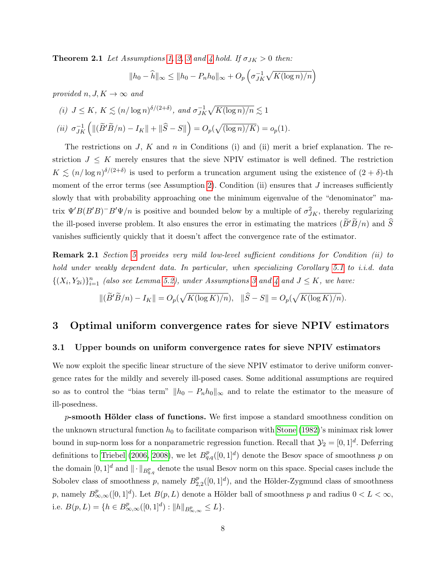**Theorem 2.1** Let Assumptions [1,](#page-7-0) [2,](#page-8-2) [3](#page-8-3) and [4](#page-8-1) hold. If  $\sigma_{JK} > 0$  then:

$$
||h_0 - \widehat{h}||_{\infty} \le ||h_0 - P_n h_0||_{\infty} + O_p\left(\sigma_{JK}^{-1} \sqrt{K(\log n)/n}\right)
$$

provided n, J,  $K \to \infty$  and

(i) 
$$
J \le K
$$
,  $K \lesssim (n/\log n)^{\delta/(2+\delta)}$ , and  $\sigma_{JK}^{-1}\sqrt{K(\log n)/n} \lesssim 1$   
\n(ii)  $\sigma_{JK}^{-1}\left(\|(\widetilde{B}'\widetilde{B}/n) - I_K\| + \|\widehat{S} - S\|\right) = O_p(\sqrt{(\log n)/K}) = o_p(1)$ .

The restrictions on J, K and n in Conditions (i) and (ii) merit a brief explanation. The restriction  $J \leq K$  merely ensures that the sieve NPIV estimator is well defined. The restriction  $K \lesssim (n/\log n)^{\delta/(2+\delta)}$  is used to perform a truncation argument using the existence of  $(2+\delta)$ -th moment of the error terms (see Assumption [2\)](#page-8-2). Condition (ii) ensures that  $J$  increases sufficiently slowly that with probability approaching one the minimum eigenvalue of the "denominator" matrix  $\Psi' B (B'B)^{-} B' \Psi/n$  is positive and bounded below by a multiple of  $\sigma_{JK}^2$ , thereby regularizing the ill-posed inverse problem. It also ensures the error in estimating the matrices  $(B'B/n)$  and S vanishes sufficiently quickly that it doesn't affect the convergence rate of the estimator.

Remark 2.1 Section [5](#page-16-0) provides very mild low-level sufficient conditions for Condition (ii) to hold under weakly dependent data. In particular, when specializing Corollary [5.1](#page-16-1) to i.i.d. data  $\{(X_i,Y_{2i})\}_{i=1}^n$  (also see Lemma [5.2\)](#page-18-0), under Assumptions [3](#page-8-3) and [4](#page-8-1) and  $J \leq K$ , we have:

$$
\|(\widetilde{B}'\widetilde{B}/n) - I_K\| = O_p(\sqrt{K(\log K)/n}), \quad \|\widehat{S} - S\| = O_p(\sqrt{K(\log K)/n}).
$$

## <span id="page-9-0"></span>3 Optimal uniform convergence rates for sieve NPIV estimators

#### 3.1 Upper bounds on uniform convergence rates for sieve NPIV estimators

We now exploit the specific linear structure of the sieve NPIV estimator to derive uniform convergence rates for the mildly and severely ill-posed cases. Some additional assumptions are required so as to control the "bias term"  $||h_0 - P_n h_0||_{\infty}$  and to relate the estimator to the measure of ill-posedness.

<span id="page-9-1"></span> $p$ -smooth Hölder class of functions. We first impose a standard smoothness condition on the unknown structural function  $h_0$  to facilitate comparison with [Stone](#page-36-2) [\(1982\)](#page-36-2)'s minimax risk lower bound in sup-norm loss for a nonparametric regression function. Recall that  $\mathcal{Y}_2 = [0, 1]^d$ . Deferring definitions to [Triebel](#page-36-7) [\(2006,](#page-36-7) [2008\)](#page-36-8), we let  $B_{q,q}^p([0,1]^d)$  denote the Besov space of smoothness p on the domain  $[0,1]^d$  and  $\|\cdot\|_{B^p_{q,q}}$  denote the usual Besov norm on this space. Special cases include the Sobolev class of smoothness p, namely  $B_2^p$  $22^p_{2,2}([0,1]^d)$ , and the Hölder-Zygmund class of smoothness p, namely  $B^p_{\infty,\infty}([0,1]^d)$ . Let  $B(p,L)$  denote a Hölder ball of smoothness p and radius  $0 < L < \infty$ , i.e.  $B(p, L) = \{ h \in B_{\infty, \infty}^p([0, 1]^d) : ||h||_{B_{\infty, \infty}^p} \leq L \}.$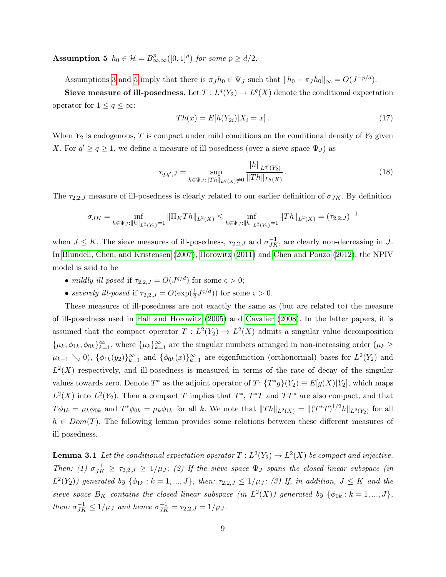**Assumption 5**  $h_0 \in \mathcal{H} = B^p_{\infty,\infty}([0,1]^d)$  for some  $p \ge d/2$ .

Assumptions [3](#page-8-3) and [5](#page-9-1) imply that there is  $\pi_J h_0 \in \Psi_J$  such that  $||h_0 - \pi_J h_0||_{\infty} = O(J^{-p/d})$ .

Sieve measure of ill-posedness. Let  $T: L^q(Y_2) \to L^q(X)$  denote the conditional expectation operator for  $1 \leq q \leq \infty$ :

$$
Th(x) = E[h(Y_{2i})|X_i = x].
$$
\n(17)

When  $Y_2$  is endogenous, T is compact under mild conditions on the conditional density of  $Y_2$  given X. For  $q' \ge q \ge 1$ , we define a measure of ill-posedness (over a sieve space  $\Psi_J$ ) as

$$
\tau_{q,q',J} = \sup_{h \in \Psi_J : \|Th\|_{L^q(X)} \neq 0} \frac{\|h\|_{L^{q'}(Y_2)}}{\|Th\|_{L^q(X)}}.
$$
\n(18)

The  $\tau_{2,2,J}$  measure of ill-posedness is clearly related to our earlier definition of  $\sigma_{JK}$ . By definition

$$
\sigma_{JK}=\inf_{h\in\Psi_J: \|h\|_{L^2(Y_2)}=1}\|\Pi_KTh\|_{L^2(X)}\leq \inf_{h\in\Psi_J: \|h\|_{L^2(Y_2)}=1}\|Th\|_{L^2(X)}=(\tau_{2,2,J})^{-1}
$$

when  $J \leq K$ . The sieve measures of ill-posedness,  $\tau_{2,2,J}$  and  $\sigma_{JK}^{-1}$ , are clearly non-decreasing in J. In [Blundell, Chen, and Kristensen](#page-33-2) [\(2007\)](#page-33-2), [Horowitz](#page-35-4) [\(2011\)](#page-35-4) and [Chen and Pouzo](#page-34-1) [\(2012\)](#page-34-1), the NPIV model is said to be

- mildly ill-posed if  $\tau_{2,2,J} = O(J^{\varsigma/d})$  for some  $\varsigma > 0$ ;
- severely ill-posed if  $\tau_{2,2,J} = O(\exp(\frac{1}{2}J^{\varsigma/d}))$  for some  $\varsigma > 0$ .

These measures of ill-posedness are not exactly the same as (but are related to) the measure of ill-posedness used in [Hall and Horowitz](#page-35-1) [\(2005\)](#page-35-1) and [Cavalier](#page-34-7) [\(2008\)](#page-34-7). In the latter papers, it is assumed that the compact operator  $T: L^2(Y_2) \to L^2(X)$  admits a singular value decomposition  $\{\mu_k; \phi_{1k}, \phi_{0k}\}_{k=1}^{\infty}$ , where  $\{\mu_k\}_{k=1}^{\infty}$  are the singular numbers arranged in non-increasing order  $(\mu_k \geq$  $\mu_{k+1} \searrow 0$ ,  $\{\phi_{1k}(y_2)\}_{k=1}^{\infty}$  and  $\{\phi_{0k}(x)\}_{k=1}^{\infty}$  are eigenfunction (orthonormal) bases for  $L^2(Y_2)$  and  $L^2(X)$  respectively, and ill-posedness is measured in terms of the rate of decay of the singular values towards zero. Denote  $T^*$  as the adjoint operator of  $T: {T^*g}(Y_2) \equiv E[g(X)|Y_2]$ , which maps  $L^2(X)$  into  $L^2(Y_2)$ . Then a compact T implies that  $T^*$ ,  $T^*T$  and  $TT^*$  are also compact, and that  $T\phi_{1k} = \mu_k \phi_{0k}$  and  $T^*\phi_{0k} = \mu_k \phi_{1k}$  for all k. We note that  $||Th||_{L^2(X)} = ||(T^*T)^{1/2}h||_{L^2(Y_2)}$  for all  $h \in Dom(T)$ . The following lemma provides some relations between these different measures of ill-posedness.

<span id="page-10-0"></span>**Lemma 3.1** Let the conditional expectation operator  $T : L^2(Y_2) \to L^2(X)$  be compact and injective. Then: (1)  $\sigma_{JK}^{-1} \geq \tau_{2,2,J} \geq 1/\mu_J$ ; (2) If the sieve space  $\Psi_J$  spans the closed linear subspace (in  $L^2(Y_2)$ ) generated by  $\{\phi_{1k}: k=1,...,J\}$ , then:  $\tau_{2,2,J} \leq 1/\mu_J$ ; (3) If, in addition,  $J \leq K$  and the sieve space  $B_K$  contains the closed linear subspace (in  $L^2(X)$ ) generated by  $\{\phi_{0k}: k = 1, ..., J\},$ then:  $\sigma_{JK}^{-1} \leq 1/\mu_J$  and hence  $\sigma_{JK}^{-1} = \tau_{2,2,J} = 1/\mu_J$ .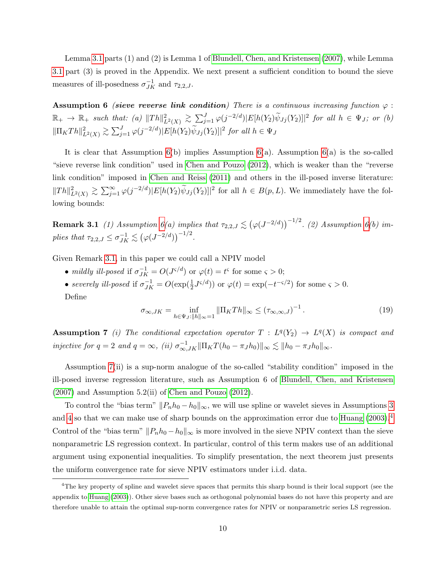Lemma [3.1](#page-10-0) parts (1) and (2) is Lemma 1 of [Blundell, Chen, and Kristensen](#page-33-2) [\(2007\)](#page-33-2), while Lemma [3.1](#page-10-0) part (3) is proved in the Appendix. We next present a sufficient condition to bound the sieve measures of ill-posedness  $\sigma_{JK}^{-1}$  and  $\tau_{2,2,J}$ .

<span id="page-11-0"></span>Assumption 6 (sieve reverse link condition) There is a continuous increasing function  $\varphi$ :  $\mathbb{R}_+ \to \mathbb{R}_+$  such that: (a)  $||Th||^2_{L^2(X)} \gtrsim \sum_{j=1}^J \varphi(j^{-2/d}) |E[h(Y_2)\tilde{\psi}_{Jj}(Y_2)]|^2$  for all  $h \in \Psi_J$ ; or (b)  $\|\Pi_K Th\|_{L^2(X)}^2 \gtrsim \sum_{j=1}^J \varphi(j^{-2/d}) |E[h(Y_2)\widetilde{\psi}_{Jj}(Y_2)]|^2$  for all  $h \in \Psi_J$ 

It is clear that Assumption  $6(b)$  implies Assumption  $6(a)$ . Assumption  $6(a)$  is the so-called "sieve reverse link condition" used in [Chen and Pouzo](#page-34-1) [\(2012\)](#page-34-1), which is weaker than the "reverse link condition" imposed in [Chen and Reiss](#page-34-2) [\(2011\)](#page-34-2) and others in the ill-posed inverse literature:  $||Th||_{L^2(X)}^2 \gtrsim \sum_{j=1}^{\infty} \varphi(j^{-2/d}) |E[h(Y_2)\tilde{\psi}_{J_j}(Y_2)]|^2$  for all  $h \in B(p, L)$ . We immediately have the following bounds:

<span id="page-11-1"></span>**Remark 3.1** (1) Assumption  $6(a)$  implies that  $\tau_{2,2,J} \lesssim (\varphi(J^{-2/d}))^{-1/2}$ . (2) Assumption  $6(b)$  implies that  $\tau_{2,2,J} \leq \sigma_{JK}^{-1} \lesssim (\varphi(J^{-2/d}))^{-1/2}$ .

Given Remark [3.1,](#page-11-1) in this paper we could call a NPIV model

- mildly ill-posed if  $\sigma_{JK}^{-1} = O(J^{s/d})$  or  $\varphi(t) = t^s$  for some  $\varsigma > 0$ ;
- severely ill-posed if  $\sigma_{JK}^{-1} = O(\exp(\frac{1}{2}J^{5/d}))$  or  $\varphi(t) = \exp(-t^{-5/2})$  for some  $\varsigma > 0$ . Define

$$
\sigma_{\infty,JK} = \inf_{h \in \Psi_J: ||h||_{\infty}=1} ||\Pi_K Th||_{\infty} \le (\tau_{\infty,\infty,J})^{-1}.
$$
\n(19)

<span id="page-11-2"></span>**Assumption 7** (i) The conditional expectation operator  $T : L^q(Y_2) \to L^q(X)$  is compact and injective for  $q = 2$  and  $q = \infty$ , (ii)  $\sigma_{\infty, JK}^{-1} || \Pi_K T(h_0 - \pi_J h_0) ||_{\infty} \lesssim ||h_0 - \pi_J h_0||_{\infty}$ .

Assumption [7\(](#page-11-2)ii) is a sup-norm analogue of the so-called "stability condition" imposed in the ill-posed inverse regression literature, such as Assumption 6 of [Blundell, Chen, and Kristensen](#page-33-2)  $(2007)$  and Assumption 5.2(ii) of [Chen and Pouzo](#page-34-1)  $(2012)$ .

To control the "bias term"  $||P_nh_0 - h_0||_{\infty}$ , we will use spline or wavelet sieves in Assumptions [3](#page-8-3) and [4](#page-8-1) so that we can make use of sharp bounds on the approximation error due to [Huang](#page-35-5) [\(2003\)](#page-35-5).<sup>[4](#page-11-3)</sup> Control of the "bias term"  $||P_nh_0 - h_0||_{\infty}$  is more involved in the sieve NPIV context than the sieve nonparametric LS regression context. In particular, control of this term makes use of an additional argument using exponential inequalities. To simplify presentation, the next theorem just presents the uniform convergence rate for sieve NPIV estimators under i.i.d. data.

<span id="page-11-4"></span><span id="page-11-3"></span><sup>&</sup>lt;sup>4</sup>The key property of spline and wavelet sieve spaces that permits this sharp bound is their local support (see the appendix to [Huang](#page-35-5) [\(2003\)](#page-35-5)). Other sieve bases such as orthogonal polynomial bases do not have this property and are therefore unable to attain the optimal sup-norm convergence rates for NPIV or nonparametric series LS regression.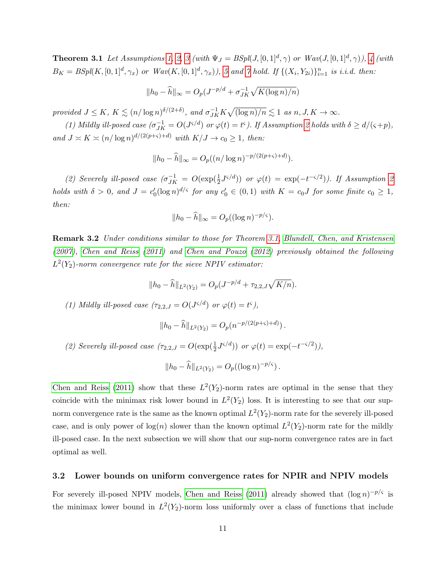**Theorem [3](#page-8-3).1** Let Assumptions [1,](#page-7-0) [2,](#page-8-2) 3 (with  $\Psi_J = BSpl(J, [0, 1]^d, \gamma)$  or  $Wav(J, [0, 1]^d, \gamma)$ ), [4](#page-8-1) (with  $B_K = BSpl(K, [0, 1]^d, \gamma_x)$  or  $Wav(K, [0, 1]^d, \gamma_x)$ , [5](#page-9-1) and [7](#page-11-2) hold. If  $\{(X_i, Y_{2i})\}_{i=1}^n$  is i.i.d. then:

$$
||h_0 - \widehat{h}||_{\infty} = O_p(J^{-p/d} + \sigma_{JK}^{-1}\sqrt{K(\log n)/n})
$$

provided  $J \leq K$ ,  $K \lesssim (n/\log n)^{\delta/(2+\delta)}$ , and  $\sigma_{JK}^{-1}K\sqrt{(\log n)/n} \lesssim 1$  as  $n, J, K \to \infty$ .

(1) Mildly ill-posed case  $(\sigma_{JK}^{-1} = O(J^{c/d}) \text{ or } \varphi(t) = t^c)$ . If Assumption [2](#page-8-2) holds with  $\delta \ge d/(\varsigma + p)$ , and  $J \asymp K \asymp (n/\log n)^{d/(2(p+\varsigma)+d)}$  with  $K/J \to c_0 \ge 1$ , then:

$$
||h_0 - \widehat{h}||_{\infty} = O_p((n/\log n)^{-p/(2(p+\varsigma)+d)}).
$$

(2) Severely ill-posed case  $(\sigma_{JK}^{-1} = O(\exp(\frac{1}{2}J^{5/d}))$  or  $\varphi(t) = \exp(-t^{-5/2})$ . If Assumption [2](#page-8-2) holds with  $\delta > 0$ , and  $J = c'_0(\log n)^{d/\varsigma}$  for any  $c'_0 \in (0,1)$  with  $K = c_0 J$  for some finite  $c_0 \geq 1$ , then:

$$
||h_0 - \widehat{h}||_{\infty} = O_p((\log n)^{-p/\varsigma}).
$$

<span id="page-12-0"></span>Remark 3.2 Under conditions similar to those for Theorem [3.1,](#page-11-4) [Blundell, Chen, and Kristensen](#page-33-2) [\(2007\)](#page-33-2), [Chen and Reiss](#page-34-2) [\(2011\)](#page-34-2) and [Chen and Pouzo](#page-34-1) [\(2012\)](#page-34-1) previously obtained the following  $L^2(Y_2)$ -norm convergence rate for the sieve NPIV estimator:

$$
||h_0 - \widehat{h}||_{L^2(Y_2)} = O_p(J^{-p/d} + \tau_{2,2,J}\sqrt{K/n}).
$$

(1) Mildly ill-posed case  $(\tau_{2,2,J} = O(J^{s/d}) \text{ or } \varphi(t) = t^s),$ 

$$
||h_0 - \widehat{h}||_{L^2(Y_2)} = O_p(n^{-p/(2(p+s)+d)}).
$$

(2) Severely ill-posed case  $(\tau_{2,2,J} = O(\exp(\frac{1}{2}J^{s/d})) \text{ or } \varphi(t) = \exp(-t^{-s/2})),$ 

$$
||h_0 - \widehat{h}||_{L^2(Y_2)} = O_p((\log n)^{-p/\varsigma}).
$$

[Chen and Reiss](#page-34-2) [\(2011\)](#page-34-2) show that these  $L^2(Y_2)$ -norm rates are optimal in the sense that they coincide with the minimax risk lower bound in  $L^2(Y_2)$  loss. It is interesting to see that our supnorm convergence rate is the same as the known optimal  $L^2(Y_2)$ -norm rate for the severely ill-posed case, and is only power of  $log(n)$  slower than the known optimal  $L^2(Y_2)$ -norm rate for the mildly ill-posed case. In the next subsection we will show that our sup-norm convergence rates are in fact optimal as well.

#### 3.2 Lower bounds on uniform convergence rates for NPIR and NPIV models

For severely ill-posed NPIV models, [Chen and Reiss](#page-34-2) [\(2011\)](#page-34-2) already showed that  $(\log n)^{-p/\varsigma}$  is the minimax lower bound in  $L^2(Y_2)$ -norm loss uniformly over a class of functions that include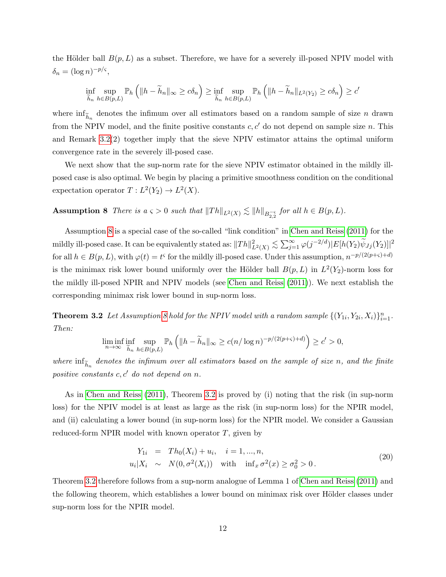the Hölder ball  $B(p, L)$  as a subset. Therefore, we have for a severely ill-posed NPIV model with  $\delta_n = (\log n)^{-p/\varsigma},$ 

$$
\inf_{\widetilde{h}_n} \sup_{h \in B(p,L)} \mathbb{P}_h \left( \|h - \widetilde{h}_n\|_{\infty} \ge c\delta_n \right) \ge \inf_{\widetilde{h}_n} \sup_{h \in B(p,L)} \mathbb{P}_h \left( \|h - \widetilde{h}_n\|_{L^2(Y_2)} \ge c\delta_n \right) \ge c'
$$

where  $\inf_{\tilde{h}_n}$  denotes the infimum over all estimators based on a random sample of size n drawn from the NPIV model, and the finite positive constants  $c, c'$  do not depend on sample size n. This and Remark [3.2\(](#page-12-0)2) together imply that the sieve NPIV estimator attains the optimal uniform convergence rate in the severely ill-posed case.

We next show that the sup-norm rate for the sieve NPIV estimator obtained in the mildly illposed case is also optimal. We begin by placing a primitive smoothness condition on the conditional expectation operator  $T: L^2(Y_2) \to L^2(X)$ .

<span id="page-13-0"></span>**Assumption 8** There is  $a \leq 0$  such that  $||Th||_{L^2(X)} \lesssim ||h||_{B_{2,2}^{-5}}$  for all  $h \in B(p, L)$ .

Assumption [8](#page-13-0) is a special case of the so-called "link condition" in [Chen and Reiss](#page-34-2) [\(2011\)](#page-34-2) for the mildly ill-posed case. It can be equivalently stated as:  $\|Th\|_{L^2(X)}^2 \lesssim \sum_{j=1}^\infty \varphi(j^{-2/d}) |E[h(Y_2) \widetilde{\psi}_{Jj}(Y_2)]|^2$ for all  $h \in B(p, L)$ , with  $\varphi(t) = t^{\varsigma}$  for the mildly ill-posed case. Under this assumption,  $n^{-p/(2(p+\varsigma)+d)}$ is the minimax risk lower bound uniformly over the Hölder ball  $B(p, L)$  in  $L^2(Y_2)$ -norm loss for the mildly ill-posed NPIR and NPIV models (see [Chen and Reiss](#page-34-2) [\(2011\)](#page-34-2)). We next establish the corresponding minimax risk lower bound in sup-norm loss.

<span id="page-13-1"></span>**Theorem 3.2** Let Assumption [8](#page-13-0) hold for the NPIV model with a random sample  $\{(Y_{1i}, Y_{2i}, X_i)\}_{i=1}^n$ . Then:

$$
\liminf_{n\to\infty} \inf_{\widetilde{h}_n} \sup_{h\in B(p,L)} \mathbb{P}_h\left( \|h-\widetilde{h}_n\|_{\infty} \ge c(n/\log n)^{-p/(2(p+\varsigma)+d)}\right) \ge c' > 0,
$$

where  $\inf_{\tilde{h}_n}$  denotes the infimum over all estimators based on the sample of size n, and the finite positive constants  $c, c'$  do not depend on n.

As in [Chen and Reiss](#page-34-2) [\(2011\)](#page-34-2), Theorem [3.2](#page-13-1) is proved by (i) noting that the risk (in sup-norm loss) for the NPIV model is at least as large as the risk (in sup-norm loss) for the NPIR model, and (ii) calculating a lower bound (in sup-norm loss) for the NPIR model. We consider a Gaussian reduced-form NPIR model with known operator  $T$ , given by

<span id="page-13-2"></span>
$$
Y_{1i} = Th_0(X_i) + u_i, \quad i = 1, ..., n,
$$
  
\n
$$
u_i | X_i \sim N(0, \sigma^2(X_i)) \quad \text{with} \quad \inf_x \sigma^2(x) \ge \sigma_0^2 > 0.
$$
 (20)

<span id="page-13-3"></span>Theorem [3.2](#page-13-1) therefore follows from a sup-norm analogue of Lemma 1 of [Chen and Reiss](#page-34-2) [\(2011\)](#page-34-2) and the following theorem, which establishes a lower bound on minimax risk over Hölder classes under sup-norm loss for the NPIR model.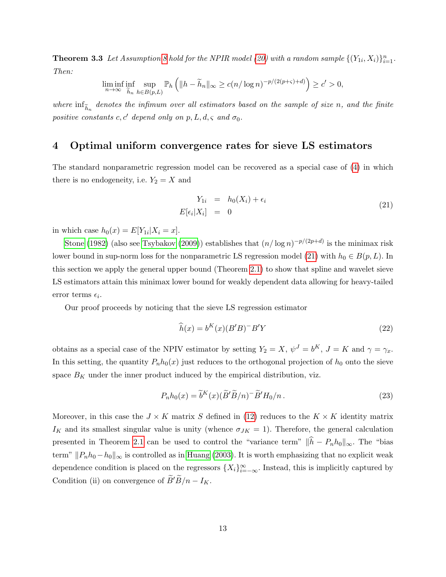**Theorem 3.3** Let Assumption [8](#page-13-0) hold for the NPIR model [\(20\)](#page-13-2) with a random sample  $\{(Y_{1i}, X_i)\}_{i=1}^n$ . Then:

$$
\liminf_{n\to\infty} \inf_{\widetilde{h}_n} \sup_{h\in B(p,L)} \mathbb{P}_h\left( \|h-\widetilde{h}_n\|_{\infty} \ge c(n/\log n)^{-p/(2(p+\varsigma)+d)} \right) \ge c' > 0,
$$

where  $\inf_{\widetilde{h}_n}$  denotes the infimum over all estimators based on the sample of size n, and the finite positive constants c, c' depend only on p, L, d,  $\varsigma$  and  $\sigma_0$ .

## <span id="page-14-0"></span>4 Optimal uniform convergence rates for sieve LS estimators

The standard nonparametric regression model can be recovered as a special case of [\(4\)](#page-5-1) in which there is no endogeneity, i.e.  $Y_2 = X$  and

<span id="page-14-1"></span>
$$
Y_{1i} = h_0(X_i) + \epsilon_i
$$
  
\n
$$
E[\epsilon_i | X_i] = 0
$$
\n(21)

in which case  $h_0(x) = E[Y_{1i}|X_i = x]$ .

[Stone](#page-36-2) [\(1982\)](#page-36-2) (also see [Tsybakov](#page-36-9) [\(2009\)](#page-36-9)) establishes that  $(n/\log n)^{-p/(2p+d)}$  is the minimax risk lower bound in sup-norm loss for the nonparametric LS regression model [\(21\)](#page-14-1) with  $h_0 \in B(p, L)$ . In this section we apply the general upper bound (Theorem [2.1\)](#page-8-0) to show that spline and wavelet sieve LS estimators attain this minimax lower bound for weakly dependent data allowing for heavy-tailed  $error terms \epsilon_i.$ 

Our proof proceeds by noticing that the sieve LS regression estimator

$$
\widehat{h}(x) = b^K(x)(B'B)^{-}B'Y
$$
\n(22)

obtains as a special case of the NPIV estimator by setting  $Y_2 = X$ ,  $\psi^J = b^K$ ,  $J = K$  and  $\gamma = \gamma_x$ . In this setting, the quantity  $P_n h_0(x)$  just reduces to the orthogonal projection of  $h_0$  onto the sieve space  $B_K$  under the inner product induced by the empirical distribution, viz.

$$
P_n h_0(x) = \tilde{b}^K(x) (\tilde{B}' \tilde{B}/n)^{-} \tilde{B}' H_0/n.
$$
\n(23)

<span id="page-14-2"></span>Moreover, in this case the  $J \times K$  matrix S defined in [\(12\)](#page-7-1) reduces to the  $K \times K$  identity matrix  $I_K$  and its smallest singular value is unity (whence  $\sigma_{JK} = 1$ ). Therefore, the general calculation presented in Theorem [2.1](#page-8-0) can be used to control the "variance term"  $\|\widehat{h} - P_n h_0\|_{\infty}$ . The "bias term"  $||P_nh_0 - h_0||_{\infty}$  is controlled as in [Huang](#page-35-5) [\(2003\)](#page-35-5). It is worth emphasizing that no explicit weak dependence condition is placed on the regressors  ${X_i}_{i=-\infty}^{\infty}$ . Instead, this is implicitly captured by Condition (ii) on convergence of  $\widetilde{B}'\widetilde{B}/n - I_K$ .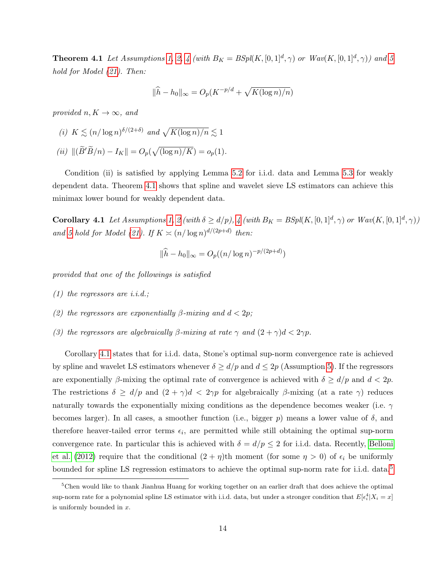**Theorem [4](#page-8-1).1** Let Assumptions [1,](#page-7-0) [2,](#page-8-2) 4 (with  $B_K = BSp(K, [0, 1]^d, \gamma)$  or  $Wav(K, [0, 1]^d, \gamma)$ ) and [5](#page-9-1) hold for Model [\(21\)](#page-14-1). Then:

$$
\|\widehat{h} - h_0\|_{\infty} = O_p(K^{-p/d} + \sqrt{K(\log n)/n})
$$

provided  $n, K \rightarrow \infty$ , and

(i) 
$$
K \lesssim (n/\log n)^{\delta/(2+\delta)}
$$
 and  $\sqrt{K(\log n)/n} \lesssim 1$   
(ii)  $\|(\widetilde{B}'\widetilde{B}/n) - I_K\| = O_p(\sqrt{(\log n)/K}) = o_p(1).$ 

Condition (ii) is satisfied by applying Lemma [5.2](#page-18-0) for i.i.d. data and Lemma [5.3](#page-19-1) for weakly dependent data. Theorem [4.1](#page-14-2) shows that spline and wavelet sieve LS estimators can achieve this minimax lower bound for weakly dependent data.

<span id="page-15-0"></span>**Corollary [4](#page-8-1).1** Let Assumptions [1,](#page-7-0) [2](#page-8-2) (with  $\delta \ge d/p$ ), 4 (with  $B_K = BSpl(K, [0, 1]^d, \gamma)$  or  $Wav(K, [0, 1]^d, \gamma)$ ) and [5](#page-9-1) hold for Model [\(21\)](#page-14-1). If  $K \asymp (n/\log n)^{d/(2p+d)}$  then:

$$
\|\hat{h} - h_0\|_{\infty} = O_p((n/\log n)^{-p/(2p+d)})
$$

provided that one of the followings is satisfied

- $(1)$  the regressors are *i.i.d.*;
- (2) the regressors are exponentially  $\beta$ -mixing and  $d < 2p$ ;
- (3) the regressors are algebraically  $\beta$ -mixing at rate  $\gamma$  and  $(2 + \gamma)d < 2\gamma p$ .

Corollary [4.1](#page-15-0) states that for i.i.d. data, Stone's optimal sup-norm convergence rate is achieved by spline and wavelet LS estimators whenever  $\delta \ge d/p$  and  $d \le 2p$  (Assumption [5\)](#page-9-1). If the regressors are exponentially β-mixing the optimal rate of convergence is achieved with  $\delta \ge d/p$  and  $d < 2p$ . The restrictions  $\delta \ge d/p$  and  $(2 + \gamma)d < 2\gamma p$  for algebraically  $\beta$ -mixing (at a rate  $\gamma$ ) reduces naturally towards the exponentially mixing conditions as the dependence becomes weaker (i.e.  $\gamma$ becomes larger). In all cases, a smoother function (i.e., bigger p) means a lower value of  $\delta$ , and therefore heaver-tailed error terms  $\epsilon_i$ , are permitted while still obtaining the optimal sup-norm convergence rate. In particular this is achieved with  $\delta = d/p \leq 2$  for i.i.d. data. Recently, [Belloni](#page-33-4) [et al.](#page-33-4) [\(2012\)](#page-33-4) require that the conditional  $(2 + \eta)$ th moment (for some  $\eta > 0$ ) of  $\epsilon_i$  be uniformly bounded for spline LS regression estimators to achieve the optimal sup-norm rate for i.i.d. data.<sup>[5](#page-15-1)</sup>

<span id="page-15-1"></span><sup>&</sup>lt;sup>5</sup>Chen would like to thank Jianhua Huang for working together on an earlier draft that does achieve the optimal sup-norm rate for a polynomial spline LS estimator with i.i.d. data, but under a stronger condition that  $E[\epsilon_i^4 | X_i = x]$ is uniformly bounded in x.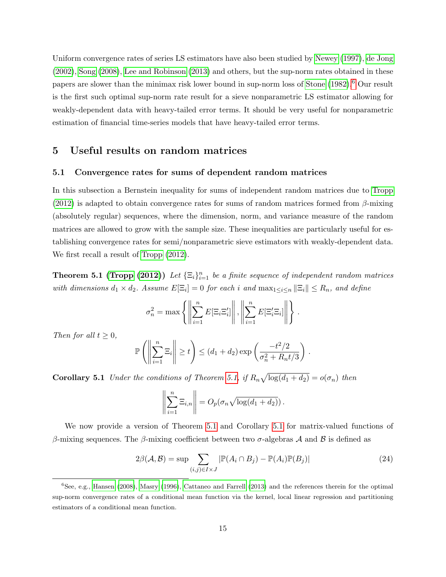Uniform convergence rates of series LS estimators have also been studied by [Newey](#page-36-6) [\(1997\)](#page-36-6), [de Jong](#page-34-11) [\(2002\)](#page-34-11), [Song](#page-36-10) [\(2008\)](#page-36-10), [Lee and Robinson](#page-35-12) [\(2013\)](#page-35-12) and others, but the sup-norm rates obtained in these papers are slower than the minimax risk lower bound in sup-norm loss of [Stone](#page-36-2) [\(1982\)](#page-36-2).[6](#page-16-2) Our result is the first such optimal sup-norm rate result for a sieve nonparametric LS estimator allowing for weakly-dependent data with heavy-tailed error terms. It should be very useful for nonparametric estimation of financial time-series models that have heavy-tailed error terms.

## <span id="page-16-0"></span>5 Useful results on random matrices

## 5.1 Convergence rates for sums of dependent random matrices

In this subsection a Bernstein inequality for sums of independent random matrices due to [Tropp](#page-36-11) [\(2012\)](#page-36-11) is adapted to obtain convergence rates for sums of random matrices formed from  $\beta$ -mixing (absolutely regular) sequences, where the dimension, norm, and variance measure of the random matrices are allowed to grow with the sample size. These inequalities are particularly useful for establishing convergence rates for semi/nonparametric sieve estimators with weakly-dependent data. We first recall a result of [Tropp](#page-36-11) [\(2012\)](#page-36-11).

<span id="page-16-3"></span>**Theorem 5.1 [\(Tropp](#page-36-11) [\(2012\)](#page-36-11))** Let  ${\{\Xi_i\}}_{i=1}^n$  be a finite sequence of independent random matrices with dimensions  $d_1 \times d_2$ . Assume  $E[\Xi_i] = 0$  for each i and  $\max_{1 \leq i \leq n} ||\Xi_i|| \leq R_n$ , and define

$$
\sigma_n^2 = \max \left\{ \left\| \sum_{i=1}^n E[\Xi_i \Xi_i'] \right\|, \left\| \sum_{i=1}^n E[\Xi_i' \Xi_i] \right\| \right\}.
$$

Then for all  $t \geq 0$ ,

$$
\mathbb{P}\left(\left\|\sum_{i=1}^n \Xi_i\right\| \geq t\right) \leq (d_1 + d_2) \exp\left(\frac{-t^2/2}{\sigma_n^2 + R_n t/3}\right).
$$

<span id="page-16-1"></span>**Corollary 5.1** Under the conditions of Theorem [5.1,](#page-16-3) if  $R_n\sqrt{\log(d_1+d_2)}=o(\sigma_n)$  then

$$
\left\| \sum_{i=1}^n \Xi_{i,n} \right\| = O_p(\sigma_n \sqrt{\log(d_1 + d_2)}).
$$

We now provide a version of Theorem [5.1](#page-16-3) and Corollary [5.1](#page-16-1) for matrix-valued functions of β-mixing sequences. The β-mixing coefficient between two  $\sigma$ -algebras A and B is defined as

$$
2\beta(\mathcal{A}, \mathcal{B}) = \sup \sum_{(i,j)\in I\times J} |\mathbb{P}(A_i \cap B_j) - \mathbb{P}(A_i)\mathbb{P}(B_j)| \tag{24}
$$

<span id="page-16-2"></span><sup>6</sup>See, e.g., [Hansen](#page-35-13) [\(2008\)](#page-35-13), [Masry](#page-36-12) [\(1996\)](#page-36-12), [Cattaneo and Farrell](#page-34-12) [\(2013\)](#page-34-12) and the references therein for the optimal sup-norm convergence rates of a conditional mean function via the kernel, local linear regression and partitioning estimators of a conditional mean function.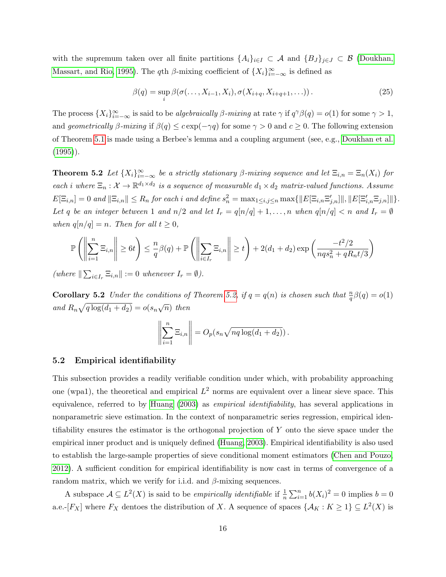with the supremum taken over all finite partitions  $\{A_i\}_{i\in I} \subset A$  and  $\{B_J\}_{J\in J} \subset B$  [\(Doukhan,](#page-35-14) [Massart, and Rio, 1995\)](#page-35-14). The qth  $\beta$ -mixing coefficient of  $\{X_i\}_{i=-\infty}^{\infty}$  is defined as

$$
\beta(q) = \sup_{i} \beta(\sigma(\ldots, X_{i-1}, X_i), \sigma(X_{i+q}, X_{i+q+1}, \ldots)). \tag{25}
$$

The process  $\{X_i\}_{i=-\infty}^{\infty}$  is said to be algebraically  $\beta$ -mixing at rate  $\gamma$  if  $q^{\gamma}\beta(q) = o(1)$  for some  $\gamma > 1$ , and geometrically  $\beta$ -mixing if  $\beta(q) \leq c \exp(-\gamma q)$  for some  $\gamma > 0$  and  $c \geq 0$ . The following extension of Theorem [5.1](#page-16-3) is made using a Berbee's lemma and a coupling argument (see, e.g., [Doukhan et al.](#page-35-14)  $(1995)$ .

<span id="page-17-0"></span>**Theorem 5.2** Let  ${X_i}_{i=-\infty}^{\infty}$  be a strictly stationary  $\beta$ -mixing sequence and let  $\Xi_{i,n} = \Xi_n(X_i)$  for each i where  $\Xi_n: \mathcal{X} \to \mathbb{R}^{d_1 \times d_2}$  is a sequence of measurable  $d_1 \times d_2$  matrix-valued functions. Assume  $E[\Xi_{i,n}] = 0$  and  $\|\Xi_{i,n}\| \le R_n$  for each i and define  $s_n^2 = \max_{1 \le i,j \le n} \max\{\|E[\Xi_{i,n} \Xi_{j,n}']\|, \|E[\Xi_{i,n}' \Xi_{j,n}']\|\}.$ Let q be an integer between 1 and  $n/2$  and let  $I_r = q[n/q] + 1, \ldots, n$  when  $q[n/q] < n$  and  $I_r = \emptyset$ when  $q[n/q] = n$ . Then for all  $t \geq 0$ ,

<span id="page-17-1"></span>
$$
\mathbb{P}\left(\left\|\sum_{i=1}^n \Xi_{i,n}\right\| \ge 6t\right) \le \frac{n}{q}\beta(q) + \mathbb{P}\left(\left\|\sum_{i \in I_r} \Xi_{i,n}\right\| \ge t\right) + 2(d_1 + d_2)\exp\left(\frac{-t^2/2}{nqs_n^2 + qR_nt/3}\right)
$$

(where  $\|\sum_{i\in I_r} \Xi_{i,n}\| := 0$  whenever  $I_r = \emptyset$ ).

<span id="page-17-2"></span>**Corollary 5.2** Under the conditions of Theorem [5.2,](#page-17-0) if  $q = q(n)$  is chosen such that  $\frac{n}{q}\beta(q) = o(1)$ and  $R_n\sqrt{q\log(d_1+d_2)}=o(s_n\sqrt{n})$  then

$$
\left\| \sum_{i=1}^n \Xi_{i,n} \right\| = O_p(s_n \sqrt{nq \log(d_1 + d_2)}).
$$

## 5.2 Empirical identifiability

This subsection provides a readily verifiable condition under which, with probability approaching one (wpa1), the theoretical and empirical  $L^2$  norms are equivalent over a linear sieve space. This equivalence, referred to by [Huang](#page-35-5) [\(2003\)](#page-35-5) as empirical identifiability, has several applications in nonparametric sieve estimation. In the context of nonparametric series regression, empirical identifiability ensures the estimator is the orthogonal projection of Y onto the sieve space under the empirical inner product and is uniquely defined [\(Huang, 2003\)](#page-35-5). Empirical identifiability is also used to establish the large-sample properties of sieve conditional moment estimators [\(Chen and Pouzo,](#page-34-1) [2012\)](#page-34-1). A sufficient condition for empirical identifiability is now cast in terms of convergence of a random matrix, which we verify for i.i.d. and  $\beta$ -mixing sequences.

A subspace  $\mathcal{A} \subseteq L^2(X)$  is said to be *empirically identifiable* if  $\frac{1}{n} \sum_{i=1}^n b(X_i)^2 = 0$  implies  $b = 0$ a.e.-[ $F_X$ ] where  $F_X$  dentoes the distribution of X. A sequence of spaces  $\{\mathcal{A}_K : K \geq 1\} \subseteq L^2(X)$  is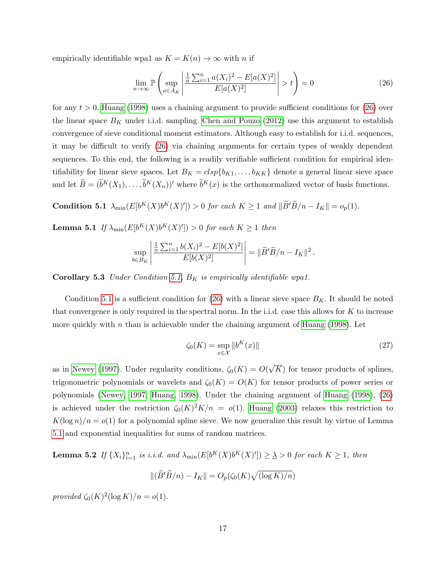empirically identifiable wpa1 as  $K = K(n) \rightarrow \infty$  with n if

$$
\lim_{n \to \infty} \mathbb{P}\left(\sup_{a \in A_K} \left| \frac{\frac{1}{n} \sum_{i=1}^n a(X_i)^2 - E[a(X)^2]}{E[a(X)^2]} \right| > t\right) = 0\tag{26}
$$

for any  $t > 0$ . [Huang](#page-35-11) [\(1998\)](#page-35-11) uses a chaining argument to provide sufficient conditions for [\(26\)](#page-17-1) over the linear space  $B_K$  under i.i.d. sampling. [Chen and Pouzo](#page-34-1) [\(2012\)](#page-34-1) use this argument to establish convergence of sieve conditional moment estimators. Although easy to establish for i.i.d. sequences, it may be difficult to verify [\(26\)](#page-17-1) via chaining arguments for certain types of weakly dependent sequences. To this end, the following is a readily verifiable sufficient condition for empirical identifiability for linear sieve spaces. Let  $B_K = c l s p \{b_{K1}, \ldots, b_{KK}\}\$  denote a general linear sieve space and let  $\widetilde{B} = (\widetilde{b}^K(X_1), \ldots, \widetilde{b}^K(X_n))'$  where  $\widetilde{b}^K(x)$  is the orthonormalized vector of basis functions.

<span id="page-18-1"></span>**Condition 5.1**  $\lambda_{\min}(E[b^K(X)b^K(X)']) > 0$  for each  $K \geq 1$  and  $\|\widetilde{B}'\widetilde{B}/n - I_K\| = o_p(1)$ .

<span id="page-18-2"></span>**Lemma 5.1** If  $\lambda_{\min}(E[b^K(X)b^K(X)']) > 0$  for each  $K \ge 1$  then

$$
\sup_{b\in B_K} \left| \frac{\frac{1}{n}\sum_{i=1}^n b(X_i)^2 - E[b(X)^2]}{E[b(X)^2]} \right| = \| \widetilde{B}' \widetilde{B}/n - I_K \|^2.
$$

Corollary 5.3 Under Condition [5.1,](#page-18-1)  $B_K$  is empirically identifiable wpa1.

Condition [5.1](#page-18-1) is a sufficient condition for [\(26\)](#page-17-1) with a linear sieve space  $B<sub>K</sub>$ . It should be noted that convergence is only required in the spectral norm. In the i.i.d. case this allows for  $K$  to increase more quickly with n than is achievable under the chaining argument of [Huang](#page-35-11)  $(1998)$ . Let

$$
\zeta_0(K) = \sup_{x \in \mathcal{X}} \|b^K(x)\| \tag{27}
$$

as in [Newey](#page-36-6) [\(1997\)](#page-36-6). Under regularity conditions,  $\zeta_0(K) = O(k)$ √  $K$ ) for tensor products of splines, trigonometric polynomials or wavelets and  $\zeta_0(K) = O(K)$  for tensor products of power series or polynomials [\(Newey, 1997;](#page-36-6) [Huang, 1998\)](#page-35-11). Under the chaining argument of [Huang](#page-35-11) [\(1998\)](#page-35-11), [\(26\)](#page-17-1) is achieved under the restriction  $\zeta_0(K)^2K/n = o(1)$ . [Huang](#page-35-5) [\(2003\)](#page-35-5) relaxes this restriction to  $K(\log n)/n = o(1)$  for a polynomial spline sieve. We now generalize this result by virtue of Lemma [5.1](#page-18-2) and exponential inequalities for sums of random matrices.

<span id="page-18-0"></span>**Lemma 5.2** If  $\{X_i\}_{i=1}^n$  is i.i.d. and  $\lambda_{\min}(E[b^K(X)b^K(X)']) \geq \lambda > 0$  for each  $K \geq 1$ , then

$$
\|(\widetilde{B}'\widetilde{B}/n) - I_K\| = O_p(\zeta_0(K)\sqrt{(\log K)/n})
$$

provided  $\zeta_0(K)^2(\log K)/n = o(1)$ .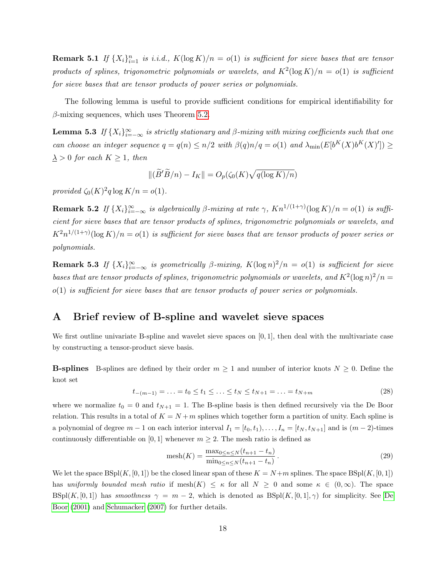**Remark 5.1** If  $\{X_i\}_{i=1}^n$  is i.i.d.,  $K(\log K)/n = o(1)$  is sufficient for sieve bases that are tensor products of splines, trigonometric polynomials or wavelets, and  $K^2(\log K)/n = o(1)$  is sufficient for sieve bases that are tensor products of power series or polynomials.

The following lemma is useful to provide sufficient conditions for empirical identifiability for  $\beta$ -mixing sequences, which uses Theorem [5.2.](#page-17-2)

<span id="page-19-1"></span>**Lemma 5.3** If  $\{X_i\}_{i=-\infty}^{\infty}$  is strictly stationary and  $\beta$ -mixing with mixing coefficients such that one can choose an integer sequence  $q = q(n) \leq n/2$  with  $\beta(q)n/q = o(1)$  and  $\lambda_{\min}(E[b^{K}(X)b^{K}(X)'] \geq$  $\lambda > 0$  for each  $K \geq 1$ , then

$$
\|(\widetilde{B}'\widetilde{B}/n) - I_K\| = O_p(\zeta_0(K)\sqrt{q(\log K)/n})
$$

provided  $\zeta_0(K)^2 q \log K/n = o(1)$ .

**Remark 5.2** If  $\{X_i\}_{i=-\infty}^{\infty}$  is algebraically  $\beta$ -mixing at rate  $\gamma$ ,  $Kn^{1/(1+\gamma)}(\log K)/n = o(1)$  is sufficient for sieve bases that are tensor products of splines, trigonometric polynomials or wavelets, and  $K^2n^{1/(1+\gamma)}(\log K)/n = o(1)$  is sufficient for sieve bases that are tensor products of power series or polynomials.

**Remark 5.3** If  $\{X_i\}_{i=-\infty}^{\infty}$  is geometrically  $\beta$ -mixing,  $K(\log n)^2/n = o(1)$  is sufficient for sieve bases that are tensor products of splines, trigonometric polynomials or wavelets, and  $K^2(\log n)^2/n =$  $o(1)$  is sufficient for sieve bases that are tensor products of power series or polynomials.

## <span id="page-19-0"></span>A Brief review of B-spline and wavelet sieve spaces

We first outline univariate B-spline and wavelet sieve spaces on [0, 1], then deal with the multivariate case by constructing a tensor-product sieve basis.

**B-splines** B-splines are defined by their order  $m \geq 1$  and number of interior knots  $N \geq 0$ . Define the knot set

$$
t_{-(m-1)} = \ldots = t_0 \le t_1 \le \ldots \le t_N \le t_{N+1} = \ldots = t_{N+m}
$$
\n(28)

where we normalize  $t_0 = 0$  and  $t_{N+1} = 1$ . The B-spline basis is then defined recursively via the De Boor relation. This results in a total of  $K = N + m$  splines which together form a partition of unity. Each spline is a polynomial of degree  $m-1$  on each interior interval  $I_1 = [t_0, t_1), \ldots, I_n = [t_N, t_{N+1}]$  and is  $(m-2)$ -times continuously differentiable on [0, 1] whenever  $m \geq 2$ . The mesh ratio is defined as

$$
\text{mesh}(K) = \frac{\max_{0 \le n \le N} (t_{n+1} - t_n)}{\min_{0 \le n \le N} (t_{n+1} - t_n)}.
$$
\n(29)

We let the space  $BSpl(K, [0, 1])$  be the closed linear span of these  $K = N+m$  splines. The space  $BSpl(K, [0, 1])$ has uniformly bounded mesh ratio if mesh $(K) \leq \kappa$  for all  $N \geq 0$  and some  $\kappa \in (0,\infty)$ . The space  $B\text{Spl}(K,[0,1])$  has smoothness  $\gamma = m-2$ , which is denoted as  $B\text{Spl}(K,[0,1],\gamma)$  for simplicity. See [De](#page-34-13) [Boor](#page-34-13) [\(2001\)](#page-34-13) and [Schumacker](#page-36-13) [\(2007\)](#page-36-13) for further details.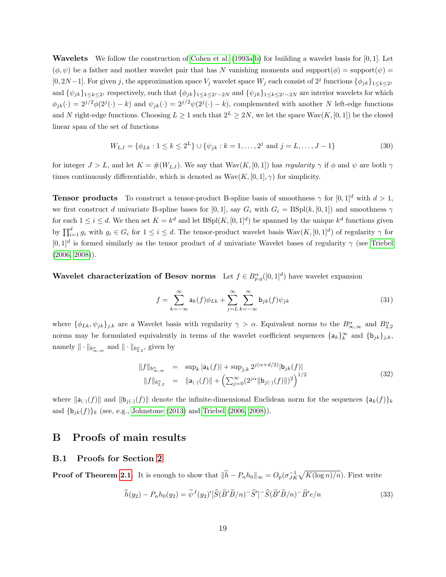**Wavelets** We follow the construction of [Cohen et al.](#page-34-14) [\(1993a,](#page-34-14)[b\)](#page-34-15) for building a wavelet basis for  $[0, 1]$ . Let  $(\phi, \psi)$  be a father and mother wavelet pair that has N vanishing moments and support $(\phi)$  = support $(\psi)$  = [0, 2N – 1]. For given j, the approximation space  $V_j$  wavelet space  $W_j$  each consist of  $2^j$  functions  $\{\phi_{jk}\}_{1\leq k\leq 2^j}$ and  $\{\psi_{jk}\}_{1\leq k\leq 2^j}$  respectively, such that  $\{\phi_{jk}\}_{1\leq k\leq 2^j-2N}$  and  $\{\psi_{jk}\}_{1\leq k\leq 2^j-2N}$  are interior wavelets for which  $\phi_{jk}(\cdot) = 2^{j/2}\phi(2^j(\cdot) - k)$  and  $\psi_{jk}(\cdot) = 2^{j/2}\psi(2^j(\cdot) - k)$ , complemented with another N left-edge functions and N right-edge functions. Choosing  $L \ge 1$  such that  $2^L \ge 2N$ , we let the space  $\text{Wav}(K, [0, 1])$  be the closed linear span of the set of functions

$$
W_{LJ} = \{ \phi_{Lk} : 1 \le k \le 2^L \} \cup \{ \psi_{jk} : k = 1, \dots, 2^j \text{ and } j = L, \dots, J - 1 \}
$$
\n(30)

for integer  $J > L$ , and let  $K = \#(W_{LJ})$ . We say that  $\text{Wav}(K, [0, 1])$  has regularity  $\gamma$  if  $\phi$  and  $\psi$  are both  $\gamma$ times continuously differentiable, which is denoted as  $Wav(K, [0, 1], \gamma)$  for simplicity.

**Tensor products** To construct a tensor-product B-spline basis of smoothness  $\gamma$  for  $[0, 1]^d$  with  $d > 1$ , we first construct d univariate B-spline bases for [0,1], say  $G_i$  with  $G_i = BSpl(k, [0, 1])$  and smoothness  $\gamma$ for each  $1 \leq i \leq d$ . We then set  $K = k^d$  and let  $BSpl(K, [0, 1]^d)$  be spanned by the unique  $k^d$  functions given by  $\prod_{i=1}^d g_i$  with  $g_i \in G_i$  for  $1 \leq i \leq d$ . The tensor-product wavelet basis  $\text{Wav}(K, [0,1]^d)$  of regularity  $\gamma$  for  $[0,1]^d$  is formed similarly as the tensor product of d univariate Wavelet bases of regularity  $\gamma$  (see [Triebel](#page-36-7) [\(2006,](#page-36-7) [2008\)](#page-36-8)).

**Wavelet characterization of Besov norms** Let  $f \in B^{\alpha}_{p,q}([0,1]^d)$  have wavelet expansion

$$
f = \sum_{k=-\infty}^{\infty} a_k(f)\phi_{Lk} + \sum_{j=L}^{\infty} \sum_{k=-\infty}^{\infty} b_{jk}(f)\psi_{jk}
$$
(31)

where  $\{\phi_{Lk}, \psi_{jk}\}_{j,k}$  are a Wavelet basis with regularity  $\gamma > \alpha$ . Equivalent norms to the  $B^{\alpha}_{\infty,\infty}$  and  $B^{\alpha}_{2,2}$ norms may be formulated equivalently in terms of the wavelet coefficient sequences  $\{a_k\}_k^{\infty}$  and  $\{b_{jk}\}_{j,k}$ , namely  $\|\cdot\|_{b^{\alpha}_{\infty,\infty}}$  and  $\|\cdot\|_{b^{\alpha}_{2,2}}$ , given by

$$
||f||_{b_{\infty,\infty}^{\alpha}} = \sup_{k} |a_{k}(f)| + \sup_{j,k} 2^{j(\alpha+d/2)} |b_{jk}(f)|
$$
  

$$
||f||_{b_{2,2}^{\alpha}} = ||a_{(\cdot)}(f)|| + \left(\sum_{j=0}^{\infty} (2^{j\alpha} ||b_{j(\cdot)}(f)||)^{2}\right)^{1/2}
$$
 (32)

where  $\|\mathsf{a}_{(\cdot)}(f)\|$  and  $\|\mathsf{b}_{j(\cdot)}(f)\|$  denote the infinite-dimensional Euclidean norm for the sequences  $\{\mathsf{a}_k(f)\}_k$ and  ${\{b_{jk}(f)\}_k}$  (see, e.g., [Johnstone](#page-35-15) [\(2013\)](#page-35-15) and [Triebel](#page-36-7) [\(2006,](#page-36-7) [2008\)](#page-36-8)).

## B Proofs of main results

## B.1 Proofs for Section [2](#page-5-0)

**Proof of Theorem [2.1.](#page-8-0)** It is enough to show that  $\|\hat{h} - P_n h_0\|_{\infty} = O_p(\sigma_{JK}^{-1} \sqrt{K(\log n)/n})$ . First write

$$
\widehat{h}(y_2) - P_n h_0(y_2) = \widetilde{\psi}^J(y_2)' [\widehat{S}(\widetilde{B}'\widetilde{B}/n)^{-}\widehat{S}']^{-}\widehat{S}(\widetilde{B}'\widetilde{B}/n)^{-}\widetilde{B}'e/n
$$
\n(33)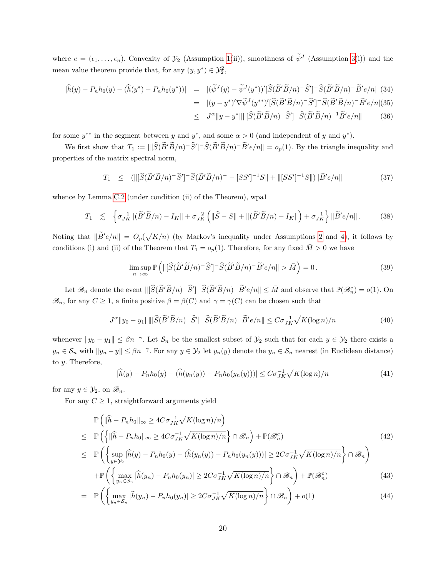where  $e = (\epsilon_1, \ldots, \epsilon_n)$ . Convexity of  $\mathcal{Y}_2$  (Assumption [1\(](#page-7-0)ii)), smoothness of  $\tilde{\psi}^J$  (Assumption [3\(](#page-8-3)i)) and the mean value theorem provide that, for any  $(y, y^*) \in \mathcal{Y}_2^2$ ,

$$
\begin{aligned}\n|\hat{h}(y) - P_n h_0(y) - (\hat{h}(y^*) - P_n h_0(y^*))| &= |(\widetilde{\psi}^J(y) - \widetilde{\psi}^J(y^*))'[\widehat{S}(\widetilde{B}'\widetilde{B}/n)^{-}\widehat{S}']^{-}\widehat{S}(\widetilde{B}'\widetilde{B}/n)^{-}\widetilde{B}'e/n|\ (34) \\
&= |(y - y^*)'\nabla \widetilde{\psi}^J(y^{**})'[\widehat{S}(\widetilde{B}'\widetilde{B}/n)^{-}\widehat{S}']^{-}\widehat{S}(\widetilde{B}'\widetilde{B}/n)^{-}\widetilde{B}'e/n|\ (35) \\
&\le J^{\alpha}||y - y^*|||[\widehat{S}(\widetilde{B}'\widetilde{B}/n)^{-}\widehat{S}']^{-}\widehat{S}(\widetilde{B}'\widetilde{B}/n)^{-1}\widetilde{B}'e/n|\ (36)\n\end{aligned}
$$

for some  $y^{**}$  in the segment between y and  $y^*$ , and some  $\alpha > 0$  (and independent of y and  $y^*$ ).

We first show that  $T_1 := ||[\widehat{S}(\widetilde{B}'\widetilde{B}/n)^{-1}\widetilde{S}'(\widetilde{B}'\widetilde{B}/n)^{-1}\widetilde{B}'e/n|| = o_p(1)$ . By the triangle inequality and properties of the matrix spectral norm,

$$
T_1 \leq (\|[\widehat{S}(\widetilde{B}'\widetilde{B}/n)^{-}\widehat{S}']^{-}\widehat{S}(\widetilde{B}'\widetilde{B}/n)^{-} - [SS']^{-1}S\| + \|[SS']^{-1}S\|)\|\widetilde{B}'e/n\| \tag{37}
$$

whence by Lemma [C.2](#page-30-0) (under condition (ii) of the Theorem), wpa1

$$
T_1 \lesssim \left\{ \sigma_{JK}^{-1} \| (\widetilde{B}' \widetilde{B}/n) - I_K \| + \sigma_{JK}^{-2} \left( \|\widehat{S} - S\| + \| (\widetilde{B}' \widetilde{B}/n) - I_K \| \right) + \sigma_{JK}^{-1} \right\} \| \widetilde{B}' e/n \|.
$$
 (38)

Noting that  $\|\widetilde{B}'e/n\| = O_p(\sqrt{K/n})$  (by Markov's inequality under Assumptions [2](#page-8-2) and [4\)](#page-8-1), it follows by conditions (i) and (ii) of the Theorem that  $T_1 = o_p(1)$ . Therefore, for any fixed  $\overline{M} > 0$  we have

$$
\limsup_{n \to \infty} \mathbb{P}\left(\left\|\left[\widehat{S}(\widetilde{B}'\widetilde{B}/n)^{-}\widehat{S}'\right]^{-}\widehat{S}(\widetilde{B}'\widetilde{B}/n)^{-}\widetilde{B}'e/n\right\| > \bar{M}\right) = 0. \tag{39}
$$

Let  $\mathscr{B}_n$  denote the event  $\|\left[\widehat{S}(\widetilde{B}'\widetilde{B}/n)^{-}\widehat{S}'\right]^{-}\widehat{S}(\widetilde{B}'\widetilde{B}/n)^{-}\widetilde{B}'e/n\|\leq \bar{M}$  and observe that  $\mathbb{P}(\mathscr{B}_n^c)=o(1)$ . On  $\mathscr{B}_n$ , for any  $C \geq 1$ , a finite positive  $\beta = \beta(C)$  and  $\gamma = \gamma(C)$  can be chosen such that

$$
J^{\alpha} \|y_0 - y_1\| \| \widehat{S}(\widetilde{B}'\widetilde{B}/n)^{-}\widehat{S}'\|^{-}\widehat{S}(\widetilde{B}'\widetilde{B}/n)^{-}\widetilde{B}'e/n \| \le C\sigma_{JK}^{-1}\sqrt{K(\log n)/n}
$$
(40)

whenever  $||y_0 - y_1|| \leq \beta n^{-\gamma}$ . Let  $\mathcal{S}_n$  be the smallest subset of  $\mathcal{Y}_2$  such that for each  $y \in \mathcal{Y}_2$  there exists a  $y_n \in \mathcal{S}_n$  with  $||y_n - y|| \leq \beta n^{-\gamma}$ . For any  $y \in \mathcal{Y}_2$  let  $y_n(y)$  denote the  $y_n \in \mathcal{S}_n$  nearest (in Euclidean distance) to y. Therefore,

<span id="page-21-0"></span>
$$
|\widehat{h}(y) - P_n h_0(y) - (\widehat{h}(y_n(y)) - P_n h_0(y_n(y)))| \le C \sigma_{JK}^{-1} \sqrt{K(\log n)/n}
$$
\n(41)

for any  $y \in \mathcal{Y}_2$ , on  $\mathcal{B}_n$ .

For any  $C \geq 1$ , straightforward arguments yield

$$
\mathbb{P}\left(\|\widehat{h} - P_n h_0\|_{\infty} \ge 4C\sigma_{JK}^{-1} \sqrt{K(\log n)/n}\right)
$$
\n
$$
\le \mathbb{P}\left(\left\{\|\widehat{h} - P_n h_0\|_{\infty} \ge 4C\sigma_{JK}^{-1} \sqrt{K(\log n)/n}\right\} \cap \mathcal{B}_n\right) + \mathbb{P}(\mathcal{B}_n^c)
$$
\n
$$
\le \mathbb{P}\left(\left\{\sup_{y \in \mathcal{Y}_2} |\widehat{h}(y) - P_n h_0(y) - (\widehat{h}(y_n(y)) - P_n h_0(y_n(y)))| \ge 2C\sigma_{JK}^{-1} \sqrt{K(\log n)/n}\right\} \cap \mathcal{B}_n\right)
$$
\n
$$
+ \mathbb{P}\left(\left\{\max_{y \in \mathcal{Y}_2} |\widehat{h}(y_n) - P_n h_0(y_n)| \ge 2C\sigma_{JK}^{-1} \sqrt{K(\log n)/n}\right\} \cap \mathcal{B}_n\right) + \mathbb{P}(\mathcal{B}_n^c)
$$
\n(43)

$$
+\mathbb{P}\left(\left\{\max_{y_n \in S_n} |\widehat{h}(y_n) - P_n h_0(y_n)| \ge 2C\sigma_{JK}^{-1} \sqrt{K(\log n)/n}\right\} \cap \mathcal{B}_n\right) + \mathbb{P}(\mathcal{B}_n^c)
$$
(43)  

$$
\mathbb{P}\left(\left\{\min_{y_n \in S_n} |\widehat{h}(y_n) - P_n h_0(y_n)| \ge 2C\sigma_{JK}^{-1} \sqrt{K(\log n)/n}\right\} \cap \mathcal{B}_n\right) + \mathbb{P}(\mathcal{B}_n^c)
$$
(44)

$$
= \mathbb{P}\left(\left\{\max_{y_n \in S_n} |\widehat{h}(y_n) - P_n h_0(y_n)| \ge 2C\sigma_{JK}^{-1} \sqrt{K(\log n)/n}\right\} \cap \mathcal{B}_n\right) + o(1) \tag{44}
$$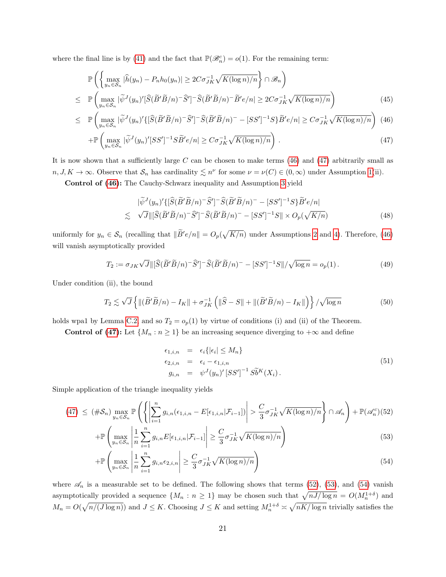where the final line is by [\(41\)](#page-21-0) and the fact that  $\mathbb{P}(\mathscr{B}_n^c) = o(1)$ . For the remaining term:

$$
\mathbb{P}\left(\left\{\max_{y_n \in \mathcal{S}_n} |\widehat{h}(y_n) - P_n h_0(y_n)| \ge 2C\sigma_{JK}^{-1} \sqrt{K(\log n)/n}\right\} \cap \mathcal{B}_n\right)
$$
\n
$$
\mathbb{P}\left(\max_{y_n \in \mathcal{S}_n} |\widetilde{\psi}^J(y_n)'[\widehat{S}(\widetilde{B}'\widetilde{B}/n)^{-}\widehat{S}']^{-}\widehat{S}(\widetilde{B}'\widetilde{B}/n)^{-}\widetilde{B}'e/n| \ge 2C\sigma_{JK}^{-1} \sqrt{K(\log n)/n}\right)
$$
\n(45)

$$
\leq \mathbb{P}\left(\max_{y_n \in \mathcal{S}_n} |\widetilde{\psi}^J(y_n)' \{ [\widehat{S}(\widetilde{B}'\widetilde{B}/n)^{-}\widehat{S}']^{-}\widehat{S}(\widetilde{B}'\widetilde{B}/n)^{-} - [SS']^{-1}S \} \widetilde{B}'e/n \} \geq C\sigma_{JK}^{-1} \sqrt{K(\log n)/n} \right) (46)
$$

$$
+\mathbb{P}\left(\max_{y_n \in S_n} |\widetilde{\psi}^J(y_n)'[SS']^{-1}S\widetilde{B}'e/n| \ge C\sigma_{JK}^{-1}\sqrt{K(\log n)/n}\right). \tag{47}
$$

It is now shown that a sufficiently large C can be chosen to make terms  $(46)$  and  $(47)$  arbitrarily small as  $n, J, K \to \infty$ . Observe that  $S_n$  has cardinality  $\lesssim n^{\nu}$  for some  $\nu = \nu(C) \in (0, \infty)$  under Assumption [1\(](#page-7-0)ii).

Control of [\(46\)](#page-22-0): The Cauchy-Schwarz inequality and Assumption [3](#page-8-3) yield

$$
|\tilde{\psi}^J(y_n)' \{ [\widehat{S}(\widetilde{B}'\widetilde{B}/n)^{-}\widehat{S}']^{-}\widehat{S}(\widetilde{B}'\widetilde{B}/n)^{-} - [SS']^{-1}S \}\widetilde{B}'e/n|
$$
  

$$
\lesssim \sqrt{J} ||[\widehat{S}(\widetilde{B}'\widetilde{B}/n)^{-}\widehat{S}']^{-}\widehat{S}(\widetilde{B}'\widetilde{B}/n)^{-} - [SS']^{-1}S || \times O_p(\sqrt{K/n})
$$
(48)

uniformly for  $y_n \in \mathcal{S}_n$  (recalling that  $\|\tilde{B}'e/n\| = O_p(\sqrt{K/n})$  under Assumptions [2](#page-8-2) and [4\)](#page-8-1). Therefore, [\(46\)](#page-22-0) will vanish asymptotically provided

$$
T_2 := \sigma_{JK}\sqrt{J} \|\left[\widehat{S}(\widetilde{B}'\widetilde{B}/n)^{-}\widehat{S}'\right]^{-}\widehat{S}(\widetilde{B}'\widetilde{B}/n)^{-} - [SS']^{-1}S\|/\sqrt{\log n} = o_p(1).
$$
\n(49)

Under condition (ii), the bound

<span id="page-22-0"></span> $\leq$ 

$$
T_2 \lesssim \sqrt{J} \left\{ \| (\widetilde{B}' \widetilde{B}/n) - I_K \| + \sigma_{JK}^{-1} \left( \| \widehat{S} - S \| + \| (\widetilde{B}' \widetilde{B}/n) - I_K \| \right) \right\} / \sqrt{\log n}
$$
(50)

holds wpa1 by Lemma [C.2,](#page-30-0) and so  $T_2 = o_p(1)$  by virtue of conditions (i) and (ii) of the Theorem.

Control of [\(47\)](#page-22-0): Let  $\{M_n : n \geq 1\}$  be an increasing sequence diverging to  $+\infty$  and define

$$
\epsilon_{1,i,n} = \epsilon_i \{ |\epsilon_i| \le M_n \}
$$
  
\n
$$
\epsilon_{2,i,n} = \epsilon_i - \epsilon_{1,i,n}
$$
  
\n
$$
g_{i,n} = \psi^J(y_n)' [SS']^{-1} S \tilde{b}^K(X_i).
$$
\n(51)

Simple application of the triangle inequality yields

<span id="page-22-1"></span>
$$
(47) \leq (\#\mathcal{S}_n) \max_{y_n \in \mathcal{S}_n} \mathbb{P}\left(\left\{ \left| \sum_{i=1}^n g_{i,n}(\epsilon_{1,i,n} - E[\epsilon_{1,i,n}|\mathcal{F}_{i-1}]) \right| > \frac{C}{3} \sigma_{JK}^{-1} \sqrt{K(\log n)/n} \right\} \cap \mathscr{A}_n \right) + \mathbb{P}(\mathscr{A}_n^c) (52)
$$

$$
+\mathbb{P}\left(\max_{y_n \in \mathcal{S}_n} \left| \frac{1}{n} \sum_{i=1}^n g_{i,n} E[\epsilon_{1,i,n} | \mathcal{F}_{i-1}] \right| \ge \frac{C}{3} \sigma_{JK}^{-1} \sqrt{K(\log n)/n} \right)
$$
(53)

$$
+\mathbb{P}\left(\max_{y_n \in \mathcal{S}_n} \left| \frac{1}{n} \sum_{i=1}^n g_{i,n} \epsilon_{2,i,n} \right| \ge \frac{C}{3} \sigma_{JK}^{-1} \sqrt{K(\log n)/n} \right) \tag{54}
$$

where  $\mathscr{A}_n$  is a measurable set to be defined. The following shows that terms [\(52\)](#page-22-1), [\(53\)](#page-22-1), and [\(54\)](#page-22-1) vanish asymptotically provided a sequence  $\{M_n : n \geq 1\}$  may be chosen such that  $\sqrt{nJ/\log n} = O(M_n^{1+\delta})$  and  $M_n = O(\sqrt{n/(J \log n)})$  and  $J \leq K$ . Choosing  $J \leq K$  and setting  $M_n^{1+\delta} \approx \sqrt{nK/\log n}$  trivially satisfies the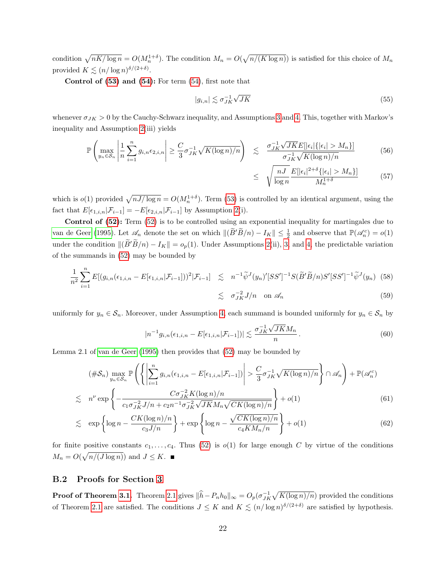condition  $\sqrt{nK/\log n} = O(M_n^{1+\delta})$ . The condition  $M_n = O(\sqrt{n/(K \log n)})$  is satisfied for this choice of  $M_n$ provided  $K \lesssim (n/\log n)^{\delta/(2+\delta)}$ .

Control of  $(53)$  and  $(54)$ : For term  $(54)$ , first note that

$$
|g_{i,n}| \lesssim \sigma_{JK}^{-1} \sqrt{JK} \tag{55}
$$

whenever  $\sigma_{JK} > 0$  by the Cauchy-Schwarz inequality, and Assumptions [3](#page-8-3) and [4.](#page-8-1) This, together with Markov's inequality and Assumption [2\(](#page-8-2)iii) yields

$$
\mathbb{P}\left(\max_{y_n \in \mathcal{S}_n} \left| \frac{1}{n} \sum_{i=1}^n g_{i,n} \epsilon_{2,i,n} \right| \ge \frac{C}{3} \sigma_{JK}^{-1} \sqrt{K(\log n)/n} \right) \le \frac{\sigma_{JK}^{-1} \sqrt{JK} E[|\epsilon_i| \{|\epsilon_i| > M_n\}]}{\sigma_{JK}^{-1} \sqrt{K(\log n)/n}} \tag{56}
$$

$$
\leq \sqrt{\frac{nJ}{\log n}} \frac{E[|\epsilon_i|^{2+\delta} \{|\epsilon_i| > M_n\}]}{M_n^{1+\delta}} \tag{57}
$$

which is  $o(1)$  provided  $\sqrt{nJ/\log n} = O(M_n^{1+\delta})$ . Term [\(53\)](#page-22-1) is controlled by an identical argument, using the fact that  $E[\epsilon_{1,i,n}|\mathcal{F}_{i-1}] = -E[\epsilon_{2,i,n}|\mathcal{F}_{i-1}]$  by Assumption [2\(](#page-8-2)i).

Control of  $(52)$ : Term  $(52)$  is to be controlled using an exponential inequality for martingales due to [van de Geer](#page-36-14) [\(1995\)](#page-36-14). Let  $\mathscr{A}_n$  denote the set on which  $\|(\widetilde{B}'\widetilde{B}/n) - I_K\| \leq \frac{1}{2}$  and observe that  $\mathbb{P}(\mathscr{A}_n^c) = o(1)$ under the condition  $\|(\widetilde{B}'\widetilde{B}/n) - I_K\| = o_p(1)$ . Under Assumptions [2\(](#page-8-2)ii), [3,](#page-8-3) and [4,](#page-8-1) the predictable variation of the summands in [\(52\)](#page-22-1) may be bounded by

$$
\frac{1}{n^2} \sum_{i=1}^n E[(g_{i,n}(\epsilon_{1,i,n} - E[\epsilon_{1,i,n}|\mathcal{F}_{i-1}]))^2 | \mathcal{F}_{i-1}] \leq n^{-1} \widetilde{\psi}^J(y_n)' [SS']^{-1} S(\widetilde{B}' \widetilde{B}/n) S' [SS']^{-1} \widetilde{\psi}^J(y_n) \tag{58}
$$

$$
\lesssim \sigma_{JK}^{-2} J/n \quad \text{on } \mathscr{A}_n \tag{59}
$$

uniformly for  $y_n \in \mathcal{S}_n$ . Moreover, under Assumption [4,](#page-8-1) each summand is bounded uniformly for  $y_n \in \mathcal{S}_n$  by

$$
|n^{-1}g_{i,n}(\epsilon_{1,i,n} - E[\epsilon_{1,i,n}|\mathcal{F}_{i-1}])| \lesssim \frac{\sigma_{JK}^{-1}\sqrt{JK}M_n}{n} \,. \tag{60}
$$

Lemma 2.1 of [van de Geer](#page-36-14) [\(1995\)](#page-36-14) then provides that [\(52\)](#page-22-1) may be bounded by

$$
(\#\mathcal{S}_n) \max_{y_n \in \mathcal{S}_n} \mathbb{P}\left(\left\{ \left| \sum_{i=1}^n g_{i,n}(\epsilon_{1,i,n} - E[\epsilon_{1,i,n}|\mathcal{F}_{i-1}]) \right| > \frac{C}{3} \sigma_{JK}^{-1} \sqrt{K(\log n)/n} \right\} \cap \mathscr{A}_n \right) + \mathbb{P}(\mathscr{A}_n^c)
$$
  

$$
\lesssim n^{\nu} \exp\left\{ -\frac{C\sigma_{JK}^{-2} K(\log n)/n}{c_1 \sigma_{JK}^{-2} J/n + c_2 n^{-1} \sigma_{JK}^{-2} \sqrt{JK} M_n \sqrt{CK(\log n)/n}} \right\} + o(1)
$$
 (61)

$$
\lesssim \exp\left\{\log n - \frac{CK(\log n)/n}{c_3 J/n}\right\} + \exp\left\{\log n - \frac{\sqrt{CK(\log n)/n}}{c_4 KM_n/n}\right\} + o(1) \tag{62}
$$

for finite positive constants  $c_1, \ldots, c_4$ . Thus [\(52\)](#page-22-1) is  $o(1)$  for large enough C by virtue of the conditions  $M_n = O(\sqrt{n/(J \log n)})$  and  $J \leq K$ .

#### B.2 Proofs for Section [3](#page-9-0)

**Proof of Theorem [3.1.](#page-11-4)** Theorem [2.1](#page-8-0) gives  $\|\hat{h} - P_n h_0\|_{\infty} = O_p(\sigma_{JK}^{-1}\sqrt{K(\log n)/n})$  provided the conditions of Theorem [2.1](#page-8-0) are satisfied. The conditions  $J \leq K$  and  $K \leq (n/\log n)^{\delta/(2+\delta)}$  are satisfied by hypothesis.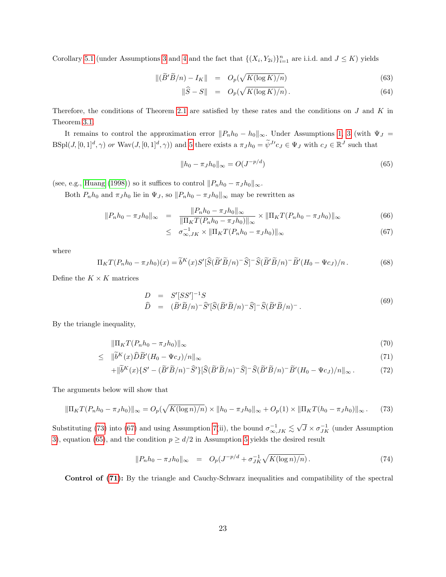Corollary [5.1](#page-16-1) (under Assumptions [3](#page-8-3) and [4](#page-8-1) and the fact that  $\{(X_i, Y_{2i})\}_{i=1}^n$  are i.i.d. and  $J \leq K$ ) yields

<span id="page-24-4"></span>
$$
\|(\widetilde{B}'\widetilde{B}/n) - I_K\| = O_p(\sqrt{K(\log K)/n})
$$
\n(63)

$$
\|\widehat{S} - S\| = O_p(\sqrt{K(\log K)/n}).\tag{64}
$$

Therefore, the conditions of Theorem [2.1](#page-8-0) are satisfied by these rates and the conditions on  $J$  and  $K$  in Theorem [3.1.](#page-11-4)

It remains to control the approximation error  $||P_n h_0 - h_0||_{\infty}$ . Under Assumptions [1,](#page-7-0) [3](#page-8-3) (with  $\Psi_J$  =  $\text{BSpl}(J,[0,1]^d,\gamma)$  or  $\text{Wav}(J,[0,1]^d,\gamma)$  and [5](#page-9-1) there exists a  $\pi_J h_0 = \tilde{\psi}^{J'} c_J \in \Psi_J$  with  $c_J \in \mathbb{R}^J$  such that

<span id="page-24-2"></span>
$$
||h_0 - \pi_J h_0||_{\infty} = O(J^{-p/d})
$$
\n(65)

(see, e.g., [Huang](#page-35-11) [\(1998\)](#page-35-11)) so it suffices to control  $||P_n h_0 - \pi_J h_0||_{\infty}$ .

Both  $P_n h_0$  and  $\pi_J h_0$  lie in  $\Psi_J$ , so  $||P_n h_0 - \pi_J h_0||_{\infty}$  may be rewritten as

<span id="page-24-1"></span>
$$
||P_n h_0 - \pi_J h_0||_{\infty} = \frac{||P_n h_0 - \pi_J h_0||_{\infty}}{||\Pi_K T(P_n h_0 - \pi_J h_0)||_{\infty}} \times ||\Pi_K T(P_n h_0 - \pi_J h_0)||_{\infty}
$$
(66)

$$
\leq \quad \sigma_{\infty,JK}^{-1} \times \|\Pi_K T (P_n h_0 - \pi_J h_0)\|_{\infty} \tag{67}
$$

where

$$
\Pi_K T (P_n h_0 - \pi_J h_0)(x) = \tilde{b}^K(x) S' [\hat{S}(\tilde{B}'\tilde{B}/n)^{-} \hat{S}]^{-} \hat{S}(\tilde{B}'\tilde{B}/n)^{-} \tilde{B}'(H_0 - \Psi c_J)/n. \tag{68}
$$

Define the  $K \times K$  matrices

<span id="page-24-5"></span>
$$
D = S'[SS']^{-1}S
$$
  
\n
$$
\hat{D} = (\tilde{B}'\tilde{B}/n)^{-}\hat{S}'[\hat{S}(\tilde{B}'\tilde{B}/n)^{-}\hat{S}]^{-}\hat{S}(\tilde{B}'\tilde{B}/n)^{-}.
$$
\n(69)

By the triangle inequality,

$$
\|\Pi_K T(P_n h_0 - \pi_J h_0)\|_{\infty} \tag{70}
$$

<span id="page-24-3"></span>
$$
\leq \quad \|\tilde{b}^K(x)\tilde{D}\tilde{B}'(H_0 - \Psi c_J)/n\|_{\infty} \tag{71}
$$

$$
+ \|\tilde{b}^K(x)\{S' - (\tilde{B}'\tilde{B}/n)^{-}\hat{S}'\}[\hat{S}(\tilde{B}'\tilde{B}/n)^{-}\hat{S}]^{-}\hat{S}(\tilde{B}'\tilde{B}/n)^{-}\tilde{B}'(H_0 - \Psi c_J)/n\|_{\infty}.
$$
 (72)

The arguments below will show that

<span id="page-24-0"></span>
$$
\|\Pi_K T(P_n h_0 - \pi_J h_0)\|_{\infty} = O_p(\sqrt{K(\log n)/n}) \times \|h_0 - \pi_J h_0\|_{\infty} + O_p(1) \times \|\Pi_K T(h_0 - \pi_J h_0)\|_{\infty}.
$$
 (73)

Substituting [\(73\)](#page-24-0) into [\(67\)](#page-24-1) and using Assumption [7\(](#page-11-2)ii), the bound  $\sigma_{\infty,JK}^{-1} \lesssim \sqrt{2}$  $\overline{J} \times \sigma_{JK}^{-1}$  (under Assumption [3\)](#page-8-3), equation [\(65\)](#page-24-2), and the condition  $p \ge d/2$  in Assumption [5](#page-9-1) yields the desired result

$$
||P_n h_0 - \pi_J h_0||_{\infty} = O_p(J^{-p/d} + \sigma_{JK}^{-1} \sqrt{K(\log n)/n}). \tag{74}
$$

Control of [\(71\)](#page-24-3): By the triangle and Cauchy-Schwarz inequalities and compatibility of the spectral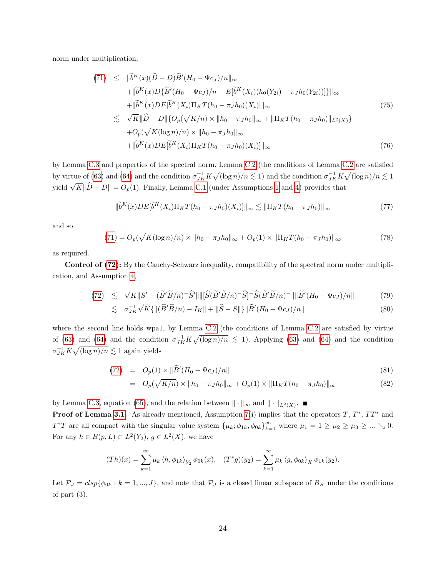norm under multiplication,

$$
(71) \leq \|\tilde{b}^{K}(x)(\tilde{D} - D)\tilde{B}'(H_{0} - \Psi c_{J})/n\|_{\infty} \n+ \|\tilde{b}^{K}(x)D\{\tilde{B}'(H_{0} - \Psi c_{J})/n - E[\tilde{b}^{K}(X_{i})(h_{0}(Y_{2i}) - \pi_{J}h_{0}(Y_{2i}))]\}\|_{\infty} \n+ \|\tilde{b}^{K}(x)DE[\tilde{b}^{K}(X_{i})\Pi_{K}T(h_{0} - \pi_{J}h_{0})(X_{i})]\|_{\infty} \n\lesssim \sqrt{K}\|\tilde{D} - D\|\{O_{p}(\sqrt{K/n}) \times \|h_{0} - \pi_{J}h_{0}\|_{\infty} + \|\Pi_{K}T(h_{0} - \pi_{J}h_{0})\|_{L^{2}(X)}\} \n+ O_{p}(\sqrt{K(\log n)/n}) \times \|h_{0} - \pi_{J}h_{0}\|_{\infty} \n+ \|\tilde{b}^{K}(x)DE[\tilde{b}^{K}(X_{i})\Pi_{K}T(h_{0} - \pi_{J}h_{0})(X_{i})]\|_{\infty}
$$
\n(76)

by Lemma [C.3](#page-32-0) and properties of the spectral norm. Lemma [C.2](#page-30-0) (the conditions of Lemma [C.2](#page-30-0) are satisfied by virtue of [\(63\)](#page-24-4) and [\(64\)](#page-24-4) and the condition  $\sigma_{JK}^{-1} K \sqrt{(\log n)/n} \lesssim 1$ ) and the condition  $\sigma_{JK}^{-1} K \sqrt{(\log n)/n} \lesssim 1$ yield  $\sqrt{K} \|\hat{D} - D\| = O_p(1)$ . Finally, Lemma [C.1](#page-29-0) (under Assumptions [1](#page-7-0) and [4\)](#page-8-1) provides that

$$
\|\widetilde{b}^{K}(x)DE[\widetilde{b}^{K}(X_{i})\Pi_{K}T(h_{0}-\pi_{J}h_{0})(X_{i})]\|_{\infty} \lesssim \|\Pi_{K}T(h_{0}-\pi_{J}h_{0})\|_{\infty}
$$
\n(77)

and so

$$
(71) = O_p(\sqrt{K(\log n)/n}) \times ||h_0 - \pi_J h_0||_{\infty} + O_p(1) \times ||\Pi_K T(h_0 - \pi_J h_0)||_{\infty}
$$
\n(78)

as required.

Control of [\(72\)](#page-24-3): By the Cauchy-Schwarz inequality, compatibility of the spectral norm under multiplication, and Assumption [4,](#page-8-1)

$$
(72) \lesssim \sqrt{K}||S' - (\widetilde{B}'\widetilde{B}/n)^{-}\widehat{S}'||||[\widehat{S}(\widetilde{B}'\widetilde{B}/n)^{-}\widehat{S}]^{-}\widehat{S}(\widetilde{B}'\widetilde{B}/n)^{-}||||\widetilde{B}'(H_0 - \Psi c_J)/n|| \tag{79}
$$

$$
\lesssim \sigma_{JK}^{-1} \sqrt{K} \{ \| (\widetilde{B}' \widetilde{B}/n) - I_K \| + \| \widehat{S} - S \| \} \| \widetilde{B}' (H_0 - \Psi c_J) / n \|
$$
\n(80)

where the second line holds wpa1, by Lemma [C.2](#page-30-0) (the conditions of Lemma [C.2](#page-30-0) are satisfied by virtue of [\(63\)](#page-24-4) and [\(64\)](#page-24-4) and the condition  $\sigma_{JK}^{-1} K \sqrt{(\log n)/n} \lesssim 1$ . Applying (63) and (64) and the condition  $\sigma_{JK}^{-1} K \sqrt{\left(\log n\right)/n} \lesssim 1$  again yields

(72) = 
$$
O_p(1) \times ||\widetilde{B}'(H_0 - \Psi c_J)/n||
$$
 (81)

$$
= O_p(\sqrt{K/n}) \times ||h_0 - \pi_J h_0||_{\infty} + O_p(1) \times ||\Pi_K T(h_0 - \pi_J h_0)||_{\infty}
$$
\n(82)

by Lemma [C.3,](#page-32-0) equation [\(65\)](#page-24-2), and the relation between  $\|\cdot\|_{\infty}$  and  $\|\cdot\|_{L^2(X)}$ .

**Proof of Lemma [3.1.](#page-10-0)** As already mentioned, Assumption [7\(](#page-11-2)i) implies that the operators  $T, T^*, TT^*$  and  $T^*T$  are all compact with the singular value system  $\{\mu_k; \phi_{1k}, \phi_{0k}\}_{k=1}^{\infty}$  where  $\mu_1 = 1 \ge \mu_2 \ge \mu_3 \ge ... \searrow 0$ . For any  $h \in B(p, L) \subset L^2(Y_2)$ ,  $g \in L^2(X)$ , we have

$$
(Th)(x) = \sum_{k=1}^{\infty} \mu_k \langle h, \phi_{1k} \rangle_{Y_2} \phi_{0k}(x), \quad (T^*g)(y_2) = \sum_{k=1}^{\infty} \mu_k \langle g, \phi_{0k} \rangle_X \phi_{1k}(y_2).
$$

Let  $P_J = clsp\{\phi_{0k} : k = 1, ..., J\}$ , and note that  $P_J$  is a closed linear subspace of  $B_K$  under the conditions of part  $(3)$ .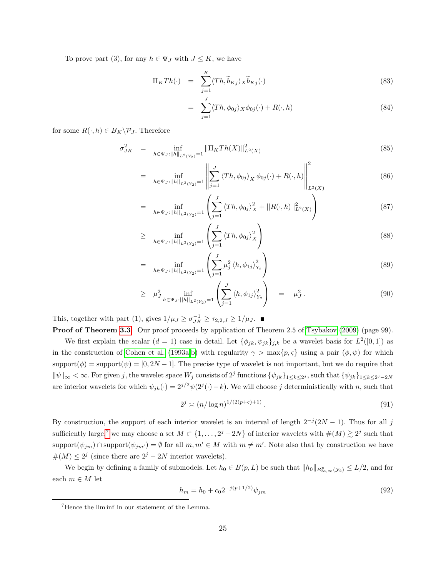To prove part (3), for any  $h \in \Psi_J$  with  $J \leq K$ , we have

$$
\Pi_K Th(\cdot) = \sum_{j=1}^K \langle Th, \widetilde{b}_{Kj} \rangle_X \widetilde{b}_{Kj}(\cdot)
$$
\n(83)

$$
= \sum_{j=1}^{J} \langle Th, \phi_{0j} \rangle_X \phi_{0j}(\cdot) + R(\cdot, h) \tag{84}
$$

for some  $R(\cdot, h) \in B_K \backslash \mathcal{P}_J$ . Therefore

$$
\sigma_{JK}^2 = \inf_{h \in \Psi_J : \|h\|_{L^2(Y_2)} = 1} \|\Pi_K Th(X)\|_{L^2(X)}^2 \tag{85}
$$

$$
= \inf_{h \in \Psi_J: ||h||_{L^2(Y_2)}=1} \left\| \sum_{j=1}^J \left\langle Th, \phi_{0j} \right\rangle_X \phi_{0j}(\cdot) + R(\cdot, h) \right\|_{L^2(X)}^2 \tag{86}
$$

$$
= \inf_{h \in \Psi_J: ||h||_{L^2(Y_2)}=1} \left( \sum_{j=1}^J \langle Th, \phi_{0j} \rangle_X^2 + ||R(\cdot, h)||^2_{L^2(X)} \right) \tag{87}
$$

$$
\geq \inf_{h \in \Psi_J: ||h||_{L^2(Y_2)} = 1} \left( \sum_{j=1}^J \langle Th, \phi_{0j} \rangle_X^2 \right) \tag{88}
$$

$$
= \inf_{h \in \Psi_J: ||h||_{L^2(Y_2)}=1} \left( \sum_{j=1}^J \mu_j^2 \left\langle h, \phi_{1j} \right\rangle_{Y_2}^2 \right) \tag{89}
$$

$$
\geq \mu_{J}^{2} \inf_{h \in \Psi_{J}: ||h||_{L^{2}(Y_{2})}=1} \left( \sum_{j=1}^{J} \langle h, \phi_{1j} \rangle_{Y_{2}}^{2} \right) = \mu_{J}^{2}.
$$
 (90)

This, together with part (1), gives  $1/\mu_J \ge \sigma_{JK}^{-1} \ge \tau_{2,2,J} \ge 1/\mu_J$ .

Proof of Theorem [3.3.](#page-13-3) Our proof proceeds by application of Theorem 2.5 of [Tsybakov](#page-36-9) [\(2009\)](#page-36-9) (page 99). We first explain the scalar  $(d = 1)$  case in detail. Let  $\{\phi_{jk}, \psi_{jk}\}_{j,k}$  be a wavelet basis for  $L^2([0, 1])$  as in the construction of [Cohen et al.](#page-34-14) [\(1993a](#page-34-14)[,b\)](#page-34-15) with regularity  $\gamma > \max\{p, \varsigma\}$  using a pair  $(\phi, \psi)$  for which support $(\phi)$  = support $(\psi)$  = [0, 2N – 1]. The precise type of wavelet is not important, but we do require that  $\|\psi\|_{\infty} < \infty$ . For given j, the wavelet space  $W_j$  consists of  $2^j$  functions  $\{\psi_{jk}\}_{1 \leq k \leq 2^j}$ , such that  $\{\psi_{jk}\}_{1 \leq k \leq 2^j-2N}$ are interior wavelets for which  $\psi_{jk}(\cdot) = 2^{j/2}\psi(2^j(\cdot)-k)$ . We will choose j deterministically with n, such that

$$
2^j \asymp (n/\log n)^{1/(2(p+\varsigma)+1)}.
$$
\n(91)

By construction, the support of each interior wavelet is an interval of length  $2^{-j}(2N-1)$ . Thus for all j sufficiently large,<sup>[7](#page-26-0)</sup> we may choose a set  $M \subset \{1, \ldots, 2^{j} - 2N\}$  of interior wavelets with  $\#(M) \gtrsim 2^{j}$  such that support $(\psi_{jm}) \cap \text{support}(\psi_{jm'}) = \emptyset$  for all  $m, m' \in M$  with  $m \neq m'$ . Note also that by construction we have  $\#(M) \leq 2^{j}$  (since there are  $2^{j} - 2N$  interior wavelets).

We begin by defining a family of submodels. Let  $h_0 \in B(p, L)$  be such that  $||h_0||_{B^p_{\infty, \infty}(\mathcal{Y}_2)} \leq L/2$ , and for each  $m \in M$  let

$$
h_m = h_0 + c_0 2^{-j(p+1/2)} \psi_{jm} \tag{92}
$$

<span id="page-26-0"></span><sup>7</sup>Hence the lim inf in our statement of the Lemma.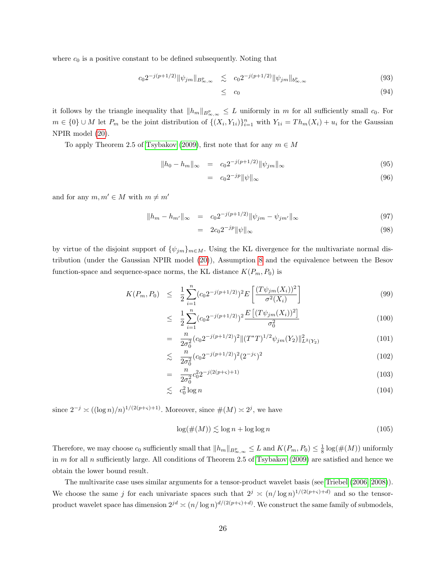where  $c_0$  is a positive constant to be defined subsequently. Noting that

$$
c_0 2^{-j(p+1/2)} \|\psi_{jm}\|_{B^p_{\infty,\infty}} \lesssim c_0 2^{-j(p+1/2)} \|\psi_{jm}\|_{b^p_{\infty,\infty}} \tag{93}
$$

$$
\leq c_0 \tag{94}
$$

it follows by the triangle inequality that  $||h_m||_{B^p_{\infty,\infty}} \leq L$  uniformly in m for all sufficiently small  $c_0$ . For  $m \in \{0\} \cup M$  let  $P_m$  be the joint distribution of  $\{(X_i, Y_{1i})\}_{i=1}^n$  with  $Y_{1i} = Th_m(X_i) + u_i$  for the Gaussian NPIR model [\(20\)](#page-13-2).

To apply Theorem 2.5 of [Tsybakov](#page-36-9) [\(2009\)](#page-36-9), first note that for any  $m \in M$ 

$$
||h_0 - h_m||_{\infty} = c_0 2^{-j(p+1/2)} ||\psi_{jm}||_{\infty}
$$
\n(95)

$$
= c_0 2^{-jp} \|\psi\|_{\infty} \tag{96}
$$

and for any  $m, m' \in M$  with  $m \neq m'$ 

$$
||h_m - h_{m'}||_{\infty} = c_0 2^{-j(p+1/2)} ||\psi_{jm} - \psi_{jm'}||_{\infty}
$$
\n(97)

$$
= 2c_0 2^{-jp} \|\psi\|_{\infty} \tag{98}
$$

by virtue of the disjoint support of  $\{\psi_{jm}\}_{m\in M}$ . Using the KL divergence for the multivariate normal distribution (under the Gaussian NPIR model [\(20\)](#page-13-2)), Assumption [8](#page-13-0) and the equivalence between the Besov function-space and sequence-space norms, the KL distance  $K(P_m, P_0)$  is

$$
K(P_m, P_0) \leq \frac{1}{2} \sum_{i=1}^n (c_0 2^{-j(p+1/2)})^2 E\left[\frac{(T\psi_{jm}(X_i))^2}{\sigma^2(X_i)}\right]
$$
(99)

$$
\leq \frac{1}{2} \sum_{i=1}^{n} (c_0 2^{-j(p+1/2)})^2 \frac{E\left[ (T\psi_{jm}(X_i))^2 \right]}{\sigma_0^2} \tag{100}
$$

$$
= \frac{n}{2\sigma_0^2} (c_0 2^{-j(p+1/2)})^2 \| (T^*T)^{1/2} \psi_{jm}(Y_2) \|_{L^2(Y_2)}^2 \tag{101}
$$

$$
\lesssim \frac{n}{2\sigma_0^2} (c_0 2^{-j(p+1/2)})^2 (2^{-j\varsigma})^2 \tag{102}
$$

$$
= \frac{n}{2\sigma_0^2} c_0^2 2^{-j(2(p+\varsigma)+1)} \tag{103}
$$

$$
\lesssim c_0^2 \log n \tag{104}
$$

since  $2^{-j} \times ((\log n)/n)^{1/(2(p+\varsigma)+1)}$ . Moreover, since  $\#(M) \times 2^j$ , we have

$$
\log(\#(M)) \lesssim \log n + \log \log n \tag{105}
$$

Therefore, we may choose  $c_0$  sufficiently small that  $||h_m||_{B^p_{\infty,\infty}} \leq L$  and  $K(P_m, P_0) \leq \frac{1}{8} \log(\#(M))$  uniformly in m for all n sufficiently large. All conditions of Theorem 2.5 of [Tsybakov](#page-36-9)  $(2009)$  are satisfied and hence we obtain the lower bound result.

The multivarite case uses similar arguments for a tensor-product wavelet basis (see [Triebel](#page-36-7) [\(2006,](#page-36-7) [2008\)](#page-36-8)). We choose the same j for each univariate spaces such that  $2^j \n\times (n/\log n)^{1/(2(p+s)+d)}$  and so the tensorproduct wavelet space has dimension  $2^{jd} \asymp (n/\log n)^{d/(2(p+\varsigma)+d)}$ . We construct the same family of submodels,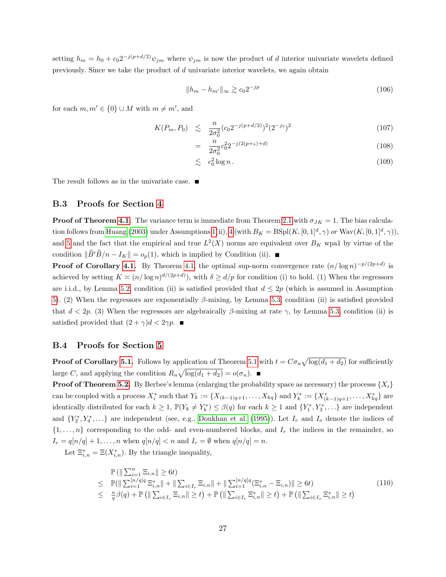setting  $h_m = h_0 + c_0 2^{-j(p+d/2)} \psi_{jm}$  where  $\psi_{jm}$  is now the product of d interior univariate wavelets defined previously. Since we take the product of  $d$  univariate interior wavelets, we again obtain

$$
||h_m - h_{m'}||_{\infty} \gtrsim c_0 2^{-jp} \tag{106}
$$

for each  $m, m' \in \{0\} \cup M$  with  $m \neq m'$ , and

$$
K(P_m, P_0) \leq \frac{n}{2\sigma_0^2} (c_0 2^{-j(p+d/2)})^2 (2^{-j\varsigma})^2 \tag{107}
$$

$$
= \frac{n}{2\sigma_0^2} c_0^2 2^{-j(2(p+\varsigma)+d)} \tag{108}
$$

$$
\lesssim c_0^2 \log n. \tag{109}
$$

The result follows as in the univariate case.  $\blacksquare$ 

## B.3 Proofs for Section [4](#page-14-0)

**Proof of Theorem [4.1.](#page-14-2)** The variance term is immediate from Theorem [2.1](#page-8-0) with  $\sigma_{JK} = 1$ . The bias calcula-tion follows from [Huang](#page-35-5) [\(2003\)](#page-35-5) under Assumptions [1\(](#page-7-0)ii), [4](#page-8-1) (with  $B_K = B\text{Spl}(K, [0,1]^d, \gamma)$  or  $\text{Wav}(K, [0,1]^d, \gamma)$ ), and [5](#page-9-1) and the fact that the empirical and true  $L^2(X)$  norms are equivalent over  $B_K$  wpa1 by virtue of the condition  $\|\tilde{B}'\tilde{B}/n - I_K\| = o_p(1)$ , which is implied by Condition (ii).

**Proof of Corollary [4.1.](#page-15-0)** By Theorem [4.1,](#page-14-2) the optimal sup-norm convergence rate  $(n/\log n)^{-p/(2p+d)}$  is achieved by setting  $K \asymp (n/\log n)^{d/(2p+d)}$ , with  $\delta \ge d/p$  for condition (i) to hold. (1) When the regressors are i.i.d., by Lemma [5.2,](#page-18-0) condition (ii) is satisfied provided that  $d \leq 2p$  (which is assumed in Assumption [5\)](#page-9-1). (2) When the regressors are exponentially β-mixing, by Lemma [5.3,](#page-19-1) condition (ii) is satisfied provided that  $d < 2p$ . (3) When the regressors are algebraically  $\beta$ -mixing at rate  $\gamma$ , by Lemma [5.3,](#page-19-1) condition (ii) is satisfied provided that  $(2 + \gamma)d < 2\gamma p$ .

#### B.4 Proofs for Section [5](#page-16-0)

**Proof of Corollary [5.1.](#page-16-1)** Follows by application of Theorem [5.1](#page-16-3) with  $t = C\sigma_n \sqrt{\log(d_1 + d_2)}$  for sufficiently large C, and applying the condition  $R_n \sqrt{\log(d_1 + d_2)} = o(\sigma_n)$ .

**Proof of Theorem [5.2.](#page-17-0)** By Berbee's lemma (enlarging the probability space as necessary) the processs  $\{X_i\}$ can be coupled with a process  $X_i^*$  such that  $Y_k := \{X_{(k-1)q+1}, \ldots, X_{kq}\}\$ and  $Y_k^* := \{X_{(k-1)q+1}^*, \ldots, X_{kq}\}\$ are identically distributed for each  $k \geq 1$ ,  $\mathbb{P}(Y_k \neq Y_k^*) \leq \beta(q)$  for each  $k \geq 1$  and  $\{Y_1^*, Y_3^*, \ldots\}$  are independent and  $\{Y_2^*, Y_4^*, \ldots\}$  are independent (see, e.g., [Doukhan et al.](#page-35-14) [\(1995\)](#page-35-14)). Let  $I_e$  and  $I_o$  denote the indices of  $\{1,\ldots,n\}$  corresponding to the odd- and even-numbered blocks, and  $I_r$  the indices in the remainder, so  $I_r = q[n/q] + 1, \ldots, n$  when  $q[n/q] < n$  and  $I_r = \emptyset$  when  $q[n/q] = n$ .

Let  $\Xi_{i,n}^* = \Xi(X_{i,n}^*)$ . By the triangle inequality,

$$
\mathbb{P}\left(\|\sum_{i=1}^{n}\Xi_{i,n}\| \geq 6t\right) \n\leq \mathbb{P}(\|\sum_{i=1}^{n/q|q}\Xi_{i,n}^{*}\| + \|\sum_{i\in I_{r}}\Xi_{i,n}\| + \|\sum_{i=1}^{[n/q]q}(\Xi_{i,n}^{*}-\Xi_{i,n})\| \geq 6t) \n\leq \frac{n}{q}\beta(q) + \mathbb{P}\left(\|\sum_{i\in I_{r}}\Xi_{i,n}\| \geq t\right) + \mathbb{P}\left(\|\sum_{i\in I_{e}}\Xi_{i,n}^{*}\| \geq t\right) + \mathbb{P}\left(\|\sum_{i\in I_{o}}\Xi_{i,n}^{*}\| \geq t\right)
$$
\n(110)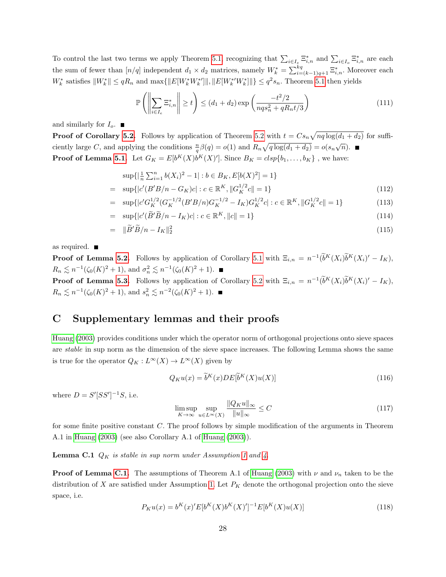To control the last two terms we apply Theorem [5.1,](#page-16-3) recognizing that  $\sum_{i\in I_e} \Xi_{i,n}^*$  and  $\sum_{i\in I_o} \Xi_{i,n}^*$  are each the sum of fewer than  $[n/q]$  independent  $d_1 \times d_2$  matrices, namely  $W_k^* = \sum_{i=(k-1)q+1}^{kq} \Xi_{i,n}^*$ . Moreover each  $W_k^*$  satisfies  $||W_k^*|| \leq qR_n$  and  $\max{||E[W_k^*W_k^*]||, ||E[W_k^*'W_k^*]||} \leq q^2s_n$ . Theorem [5.1](#page-16-3) then yields

$$
\mathbb{P}\left(\left\|\sum_{i\in I_e} \Xi_{i,n}^*\right\| \ge t\right) \le (d_1 + d_2) \exp\left(\frac{-t^2/2}{nqs_n^2 + qR_nt/3}\right) \tag{111}
$$

and similarly for  $I_o$ .

**Proof of Corollary [5.2.](#page-17-2)** Follows by application of Theorem [5.2](#page-17-0) with  $t = Cs_n\sqrt{nq \log(d_1 + d_2)}$  for sufficiently large C, and applying the conditions  $\frac{n}{q}\beta(q) = o(1)$  and  $R_n\sqrt{q\log(d_1+d_2)} = o(s_n\sqrt{n}).$ **Proof of Lemma [5.1.](#page-18-2)** Let  $G_K = E[b^K(X)b^K(X)']$ . Since  $B_K = c lsp\{b_1, \ldots, b_K\}$ , we have:

$$
\sup\{\left|\frac{1}{n}\sum_{i=1}^{n}b(X_i)^2 - 1\right| : b \in B_K, E[b(X)^2] = 1\}
$$
  
= 
$$
\sup\{|c'(B'B/n - G_K)c| : c \in \mathbb{R}^K, ||G_K^{1/2}c|| = 1\}
$$
 (112)

$$
= \sup\{|c'G_K^{1/2}(G_K^{-1/2}(B'B/n)G_K^{-1/2} - I_K)G_K^{1/2}c| : c \in \mathbb{R}^K, \|G_K^{1/2}c\| = 1\}
$$
(113)

$$
= \sup\{|c'(\widetilde{B}'\widetilde{B}/n - I_K)c| : c \in \mathbb{R}^K, ||c|| = 1\}
$$
\n(114)

$$
= \|\widetilde{B}'\widetilde{B}/n - I_K\|_2^2 \tag{115}
$$

as required.

**Proof of Lemma [5.2.](#page-18-0)** Follows by application of Corollary [5.1](#page-16-1) with  $\Xi_{i,n} = n^{-1}(\tilde{b}^K(X_i)\tilde{b}^K(X_i)' - I_K)$ ,  $R_n \lesssim n^{-1}(\zeta_0(K)^2 + 1)$ , and  $\sigma_n^2 \lesssim n^{-1}(\zeta_0(K)^2 + 1)$ .

**Proof of Lemma [5.3.](#page-19-1)** Follows by application of Corollary [5.2](#page-17-2) with  $\Xi_{i,n} = n^{-1}(\tilde{b}^K(X_i)\tilde{b}^K(X_i)' - I_K)$ ,  $R_n \lesssim n^{-1}(\zeta_0(K)^2 + 1)$ , and  $s_n^2 \lesssim n^{-2}(\zeta_0(K)^2 + 1)$ .

## C Supplementary lemmas and their proofs

[Huang](#page-35-5) [\(2003\)](#page-35-5) provides conditions under which the operator norm of orthogonal projections onto sieve spaces are stable in sup norm as the dimension of the sieve space increases. The following Lemma shows the same is true for the operator  $Q_K : L^{\infty}(X) \to L^{\infty}(X)$  given by

$$
Q_K u(x) = \tilde{b}^K(x) DE[\tilde{b}^K(X)u(X)]
$$
\n(116)

where  $D = S'[SS']^{-1}S$ , i.e.

$$
\limsup_{K \to \infty} \sup_{u \in L^{\infty}(X)} \frac{\|Q_K u\|_{\infty}}{\|u\|_{\infty}} \le C \tag{117}
$$

for some finite positive constant C. The proof follows by simple modification of the arguments in Theorem A.1 in [Huang](#page-35-5) [\(2003\)](#page-35-5) (see also Corollary A.1 of [Huang](#page-35-5) [\(2003\)](#page-35-5)).

<span id="page-29-0"></span>**Lemma C.1**  $Q_K$  is stable in sup norm under Assumption [1](#page-7-0) and [4.](#page-8-1)

**Proof of Lemma [C.1.](#page-29-0)** The assumptions of Theorem A.1 of [Huang](#page-35-5) [\(2003\)](#page-35-5) with  $\nu$  and  $\nu_n$  taken to be the distribution of X are satisfied under Assumption [1.](#page-7-0) Let  $P_K$  denote the orthogonal projection onto the sieve space, i.e.

$$
P_K u(x) = b^K(x)' E[b^K(X)b^K(X)']^{-1} E[b^K(X)u(X)]
$$
\n(118)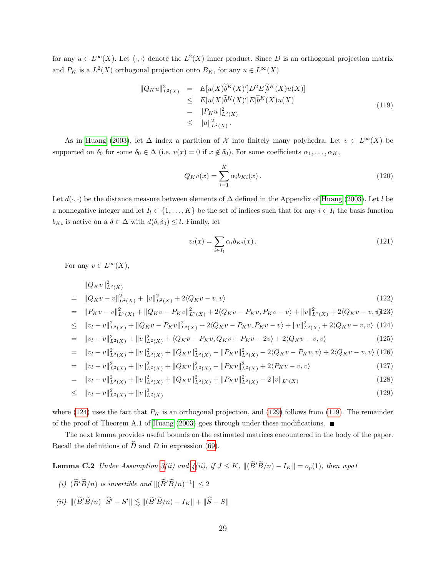for any  $u \in L^{\infty}(X)$ . Let  $\langle \cdot, \cdot \rangle$  denote the  $L^2(X)$  inner product. Since D is an orthogonal projection matrix and  $P_K$  is a  $L^2(X)$  orthogonal projection onto  $B_K$ , for any  $u \in L^{\infty}(X)$ 

<span id="page-30-2"></span>
$$
\|Q_K u\|_{L^2(X)}^2 = E[u(X)\tilde{b}^K(X)']D^2E[\tilde{b}^K(X)u(X)]
$$
  
\n
$$
\leq E[u(X)\tilde{b}^K(X)']E[\tilde{b}^K(X)u(X)]
$$
  
\n
$$
= \|P_K u\|_{L^2(X)}^2
$$
  
\n
$$
\leq \|u\|_{L^2(X)}^2.
$$
\n(119)

As in [Huang](#page-35-5) [\(2003\)](#page-35-5), let  $\Delta$  index a partition of X into finitely many polyhedra. Let  $v \in L^{\infty}(X)$  be supported on  $\delta_0$  for some  $\delta_0 \in \Delta$  (i.e.  $v(x) = 0$  if  $x \notin \delta_0$ ). For some coefficients  $\alpha_1, \ldots, \alpha_K$ ,

$$
Q_K v(x) = \sum_{i=1}^K \alpha_i b_{Ki}(x).
$$
 (120)

Let  $d(\cdot, \cdot)$  be the distance measure between elements of  $\Delta$  defined in the Appendix of [Huang](#page-35-5) [\(2003\)](#page-35-5). Let l be a nonnegative integer and let  $I_l \subset \{1, \ldots, K\}$  be the set of indices such that for any  $i \in I_l$  the basis function  $b_{Ki}$  is active on a  $\delta \in \Delta$  with  $d(\delta, \delta_0) \leq l$ . Finally, let

$$
v_l(x) = \sum_{i \in I_l} \alpha_i b_{Ki}(x). \tag{121}
$$

For any  $v \in L^{\infty}(X)$ ,

<span id="page-30-1"></span>
$$
\|Q_K v\|_{L^2(X)}^2
$$
\n
$$
= \|Q_K v - v\|_{L^2(X)}^2 + \|v\|_{L^2(X)}^2 + 2\langle Q_K v - v, v\rangle
$$
\n
$$
= \|P_K v - v\|_{L^2(X)}^2 + \|Q_K v - P_K v\|_{L^2(X)}^2 + 2\langle Q_K v - P_K v, P_K v - v\rangle + \|v\|_{L^2(X)}^2 + 2\langle Q_K v - v, v\rangle + \|v\|_{L^2(X)}^2
$$
\n
$$
\leq \|v_l - v\|_{L^2(X)}^2 + \|Q_K v - P_K v\|_{L^2(X)}^2 + 2\langle Q_K v - P_K v, P_K v - v\rangle + \|v\|_{L^2(X)}^2 + 2\langle Q_K v - v, v\rangle \quad (124)
$$
\n
$$
= \|v_l - v\|_{L^2(X)}^2 + \|v\|_{L^2(X)}^2 + \langle Q_K v - P_K v, Q_K v + P_K v - 2v\rangle + 2\langle Q_K v - v, v\rangle \quad (125)
$$
\n
$$
= \|v_l - v\|_{L^2(X)}^2 + \|v\|_{L^2(X)}^2 + \|Q_K v\|_{L^2(X)}^2 - \|P_K v\|_{L^2(X)}^2 - 2\langle Q_K v - P_K v, v\rangle + 2\langle Q_K v - v, v\rangle \quad (126)
$$
\n
$$
= \|v_l - v\|_{L^2(X)}^2 + \|v\|_{L^2(X)}^2 + \|Q_K v\|_{L^2(X)}^2 - \|P_K v\|_{L^2(X)}^2 + 2\langle P_K v - v, v\rangle \quad (127)
$$
\n
$$
= \|v_l - v\|_{L^2(X)}^2 + \|v\|_{L^2(X)}^2 + \|Q_K v\|_{L^2(X)}^2 + \|P_K v\|_{L^2(X)}^2 - 2\|v\|_{L^2(X)} \quad (128)
$$

$$
\leq \quad \|v_l - v\|_{L^2(X)}^2 + \|v\|_{L^2(X)}^2 \tag{129}
$$

where [\(124\)](#page-30-1) uses the fact that  $P_K$  is an orthogonal projection, and [\(129\)](#page-30-1) follows from [\(119\)](#page-30-2). The remainder of the proof of Theorem A.1 of [Huang](#page-35-5) [\(2003\)](#page-35-5) goes through under these modifications.  $\blacksquare$ 

The next lemma provides useful bounds on the estimated matrices encountered in the body of the paper. Recall the definitions of  $\widehat{D}$  and D in expression [\(69\)](#page-24-5).

<span id="page-30-0"></span>**Lemma C.2** Under Assumption [3\(](#page-8-3)ii) and  $\mathcal{A}(ii)$ , if  $J \leq K$ ,  $\|(\widetilde{B}'\widetilde{B}/n) - I_K\| = o_p(1)$ , then wpa1

- (i)  $(\widetilde{B}'\widetilde{B}/n)$  is invertible and  $\|(\widetilde{B}'\widetilde{B}/n)^{-1}\| \leq 2$
- (ii)  $\|(\widetilde{B}'\widetilde{B}/n)^{-}\widehat{S}' S'\| \lesssim \|(\widetilde{B}'\widetilde{B}/n) I_K\| + \|\widehat{S} S\|$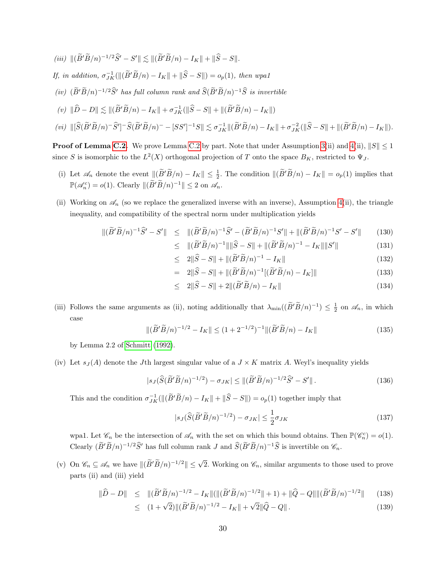(iii)  $\|(\widetilde{B}'\widetilde{B}/n)^{-1/2}\widehat{S}' - S'\| \lesssim \|(\widetilde{B}'\widetilde{B}/n) - I_K\| + \|\widehat{S} - S\|.$ If, in addition,  $\sigma_{JK}^{-1}(\|(\widetilde{B}'\widetilde{B}/n) - I_K\| + \|\widehat{S} - S\|) = o_p(1)$ , then wpa1 (iv)  $(\widetilde{B}'\widetilde{B}/n)^{-1/2}\widehat{S}'$  has full column rank and  $\widetilde{S}(\widetilde{B}'\widetilde{B}/n)^{-1}\widehat{S}$  is invertible  $(v)$   $\|\hat{D} - D\| \lesssim \|(\tilde{B}'\tilde{B}/n) - I_K\| + \sigma_{JK}^{-1}(\|\hat{S} - S\| + \|(\tilde{B}'\tilde{B}/n) - I_K\|)$ 

$$
(vi) \ \|\big[\widehat{S}(\widetilde{B}'\widetilde{B}/n)^{-}\widehat{S}'\big]^{-}\widehat{S}(\widetilde{B}'\widetilde{B}/n)^{-} - [SS']^{-1}S\|\lesssim \sigma_{JK}^{-1}\|(\widetilde{B}'\widetilde{B}/n) - I_K\| + \sigma_{JK}^{-2}(\|\widehat{S} - S\| + \|(\widetilde{B}'\widetilde{B}/n) - I_K\|).
$$

**Proof of Lemma [C.2.](#page-30-0)** We prove Lemma [C.2](#page-30-0) by part. Note that under Assumption [3\(](#page-8-3)ii) and [4\(](#page-8-1)ii),  $||S|| \le 1$ since S is isomorphic to the  $L^2(X)$  orthogonal projection of T onto the space  $B_K$ , restricted to  $\Psi_J$ .

- (i) Let  $\mathscr{A}_n$  denote the event  $\|(\widetilde{B}'\widetilde{B}/n) I_K\| \leq \frac{1}{2}$ . The condition  $\|(\widetilde{B}'\widetilde{B}/n) I_K\| = o_p(1)$  implies that  $\mathbb{P}(\mathscr{A}_n^c) = o(1)$ . Clearly  $\|(\widetilde{B}'\widetilde{B}/n)^{-1}\| \leq 2$  on  $\mathscr{A}_n$ .
- (ii) Working on  $\mathscr{A}_n$  (so we replace the generalized inverse with an inverse), Assumption [4\(](#page-8-1)ii), the triangle inequality, and compatibility of the spectral norm under multiplication yields

$$
\|(\widetilde{B}'\widetilde{B}/n)^{-1}\widehat{S}' - S'\| \leq \|\widetilde{(B}'\widetilde{B}/n)^{-1}\widehat{S}' - (\widetilde{B}'\widetilde{B}/n)^{-1}S'\| + \|(\widetilde{B}'\widetilde{B}/n)^{-1}S' - S'\| \tag{130}
$$

$$
\leq \|(\widetilde{B}'\widetilde{B}/n)^{-1}\| \|\widehat{S} - S\| + \|(\widetilde{B}'\widetilde{B}/n)^{-1} - I_K\| \|S'\| \tag{131}
$$

$$
\leq 2\|\hat{S} - S\| + \|(\tilde{B}'\tilde{B}/n)^{-1} - I_K\| \tag{132}
$$

$$
= 2\|\hat{S} - S\| + \|(\tilde{B}'\tilde{B}/n)^{-1}[(\tilde{B}'\tilde{B}/n) - I_K]\|
$$
\n(133)

$$
\leq 2\|\hat{S} - S\| + 2\|(\tilde{B}'\tilde{B}/n) - I_K\| \tag{134}
$$

(iii) Follows the same arguments as (ii), noting additionally that  $\lambda_{\min}((\widetilde{B}'\widetilde{B}/n)^{-1}) \leq \frac{1}{2}$  on  $\mathscr{A}_n$ , in which case

<span id="page-31-0"></span>
$$
\| (\widetilde{B}' \widetilde{B}/n)^{-1/2} - I_K \| \le (1 + 2^{-1/2})^{-1} \| (\widetilde{B}' \widetilde{B}/n) - I_K \|
$$
\n(135)

by Lemma 2.2 of [Schmitt](#page-36-15) [\(1992\)](#page-36-15).

(iv) Let  $s_J(A)$  denote the Jth largest singular value of a  $J \times K$  matrix A. Weyl's inequality yields

$$
|s_J(\widehat{S}(\widetilde{B}'\widetilde{B}/n)^{-1/2}) - \sigma_{JK}| \le ||(\widetilde{B}'\widetilde{B}/n)^{-1/2}\widehat{S}' - S'||. \tag{136}
$$

This and the condition  $\sigma_{JK}^{-1}(\|(\widetilde{B}'\widetilde{B}/n) - I_K\| + \|\widehat{S} - S\|) = o_p(1)$  together imply that

$$
|s_J(\hat{S}(\tilde{B}'\tilde{B}/n)^{-1/2}) - \sigma_{JK}| \le \frac{1}{2}\sigma_{JK}
$$
\n(137)

wpa1. Let  $\mathscr{C}_n$  be the intersection of  $\mathscr{A}_n$  with the set on which this bound obtains. Then  $\mathbb{P}(\mathscr{C}_n^c) = o(1)$ . Clearly  $(\widetilde{B}'\widetilde{B}/n)^{-1/2}\widehat{S}'$  has full column rank J and  $\widehat{S}(\widetilde{B}'\widetilde{B}/n)^{-1}\widehat{S}$  is invertible on  $\mathscr{C}_n$ .

(v) On  $\mathscr{C}_n \subseteq \mathscr{A}_n$  we have  $\|(\widetilde{B}'\widetilde{B}/n)^{-1/2}\| \leq \sqrt{2}$ . Working on  $\mathscr{C}_n$ , similar arguments to those used to prove parts (ii) and (iii) yield

<span id="page-31-1"></span>
$$
\|\widehat{D} - D\| \leq \|(\widetilde{B}'\widetilde{B}/n)^{-1/2} - I_K\| (\|(\widetilde{B}'\widetilde{B}/n)^{-1/2}\| + 1) + \|\widehat{Q} - Q\| \|(\widetilde{B}'\widetilde{B}/n)^{-1/2}\| \tag{138}
$$

$$
\leq (1+\sqrt{2})\|(\widetilde{B}'\widetilde{B}/n)^{-1/2} - I_K\| + \sqrt{2}\|\widehat{Q} - Q\|.
$$
\n(139)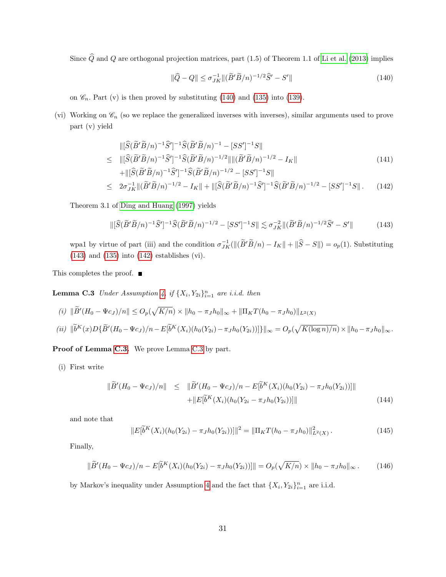Since  $\widehat{Q}$  and  $Q$  are orthogonal projection matrices, part (1.5) of Theorem 1.1 of [Li et al.](#page-36-16) [\(2013\)](#page-36-16) implies

<span id="page-32-1"></span>
$$
\|\widehat{Q} - Q\| \le \sigma_{JK}^{-1} \|(\widetilde{B}'\widetilde{B}/n)^{-1/2}\widehat{S}' - S'\|
$$
\n(140)

on  $\mathcal{C}_n$ . Part (v) is then proved by substituting [\(140\)](#page-32-1) and [\(135\)](#page-31-0) into [\(139\)](#page-31-1).

(vi) Working on  $\mathscr{C}_n$  (so we replace the generalized inverses with inverses), similar arguments used to prove part (v) yield

<span id="page-32-3"></span>
$$
\|[\widehat{S}(\widetilde{B}'\widetilde{B}/n)^{-1}\widehat{S}']^{-1}\widehat{S}(\widetilde{B}'\widetilde{B}/n)^{-1} - [SS']^{-1}S\|
$$
  
\n
$$
\leq \|\widehat{S}(\widetilde{B}'\widetilde{B}/n)^{-1}\widehat{S}'\|^{-1}\widehat{S}(\widetilde{B}'\widetilde{B}/n)^{-1/2}\|\|(\widetilde{B}'\widetilde{B}/n)^{-1/2} - I_K\|
$$
\n(141)

$$
+ \|\tilde{S}(\tilde{B}'\tilde{B}/n)^{-1}\tilde{S}'\|^{-1}\tilde{S}(\tilde{B}'\tilde{B}/n)^{-1/2} - [SS']^{-1}S\|
$$
  
\n
$$
\leq 2\sigma_{JK}^{-1} \|(\tilde{B}'\tilde{B}/n)^{-1/2} - I_K\| + \|[\tilde{S}(\tilde{B}'\tilde{B}/n)^{-1}\tilde{S}']^{-1}\tilde{S}(\tilde{B}'\tilde{B}/n)^{-1/2} - [SS']^{-1}S\|. \qquad (142)
$$

Theorem 3.1 of [Ding and Huang](#page-35-16) [\(1997\)](#page-35-16) yields

<span id="page-32-2"></span>
$$
\left\| \left[ \widehat{S}(\widetilde{B}'\widetilde{B}/n)^{-1}\widehat{S}' \right]^{-1}\widehat{S}(\widetilde{B}'\widetilde{B}/n)^{-1/2} - \left[ SS'\right]^{-1}S \right\| \lesssim \sigma_{JK}^{-2} \left\| (\widetilde{B}'\widetilde{B}/n)^{-1/2}\widehat{S}' - S' \right\|
$$
(143)

wpa1 by virtue of part (iii) and the condition  $\sigma_{JK}^{-1}(\|(\tilde{B}'\tilde{B}/n) - I_K\| + \|\hat{S} - S\|) = o_p(1)$ . Substituting [\(143\)](#page-32-2) and [\(135\)](#page-31-0) into [\(142\)](#page-32-3) establishes (vi).

<span id="page-32-0"></span>This completes the proof. ■

**Lemma C.3** Under Assumption [4,](#page-8-1) if  $\{X_i, Y_{2i}\}_{i=1}^n$  are i.i.d. then

 $(i)$   $\|\widetilde{B}'(H_0 - \Psi c_J)/n\| \leq O_p(\sqrt{K/n}) \times \|h_0 - \pi_J h_0\|_{\infty} + \|\Pi_K T(h_0 - \pi_J h_0)\|_{L^2(X)}$ 

$$
(ii) \|\widetilde{b}^{K}(x)D\{\widetilde{B}'(H_{0}-\Psi c_{J})/n-E[\widetilde{b}^{K}(X_{i})(h_{0}(Y_{2i})-\pi_{J}h_{0}(Y_{2i}))]\}\|_{\infty}=O_{p}(\sqrt{K(\log n)/n})\times\|h_{0}-\pi_{J}h_{0}\|_{\infty}.
$$

Proof of Lemma [C.3.](#page-32-0) We prove Lemma [C.3](#page-32-0) by part.

(i) First write

$$
\|\widetilde{B}'(H_0 - \Psi c_J)/n\| \leq \|\widetilde{B}'(H_0 - \Psi c_J)/n - E[\widetilde{b}^K(X_i)(h_0(Y_{2i}) - \pi_J h_0(Y_{2i}))]\| + \|E[\widetilde{b}^K(X_i)(h_0(Y_{2i} - \pi_J h_0(Y_{2i}))]]\|
$$
\n(144)

and note that

$$
||E[\tilde{b}^{K}(X_{i})(h_{0}(Y_{2i})-\pi_{J}h_{0}(Y_{2i}))]||^{2} = ||\Pi_{K}T(h_{0}-\pi_{J}h_{0})||_{L^{2}(X)}^{2}.
$$
\n(145)

Finally,

$$
\|\widetilde{B}'(H_0 - \Psi c_J)/n - E[\widetilde{b}^K(X_i)(h_0(Y_{2i}) - \pi_J h_0(Y_{2i}))]\| = O_p(\sqrt{K/n}) \times \|h_0 - \pi_J h_0\|_{\infty}.
$$
 (146)

by Markov's inequality under Assumption [4](#page-8-1) and the fact that  $\{X_i, Y_{2i}\}_{i=1}^n$  are i.i.d.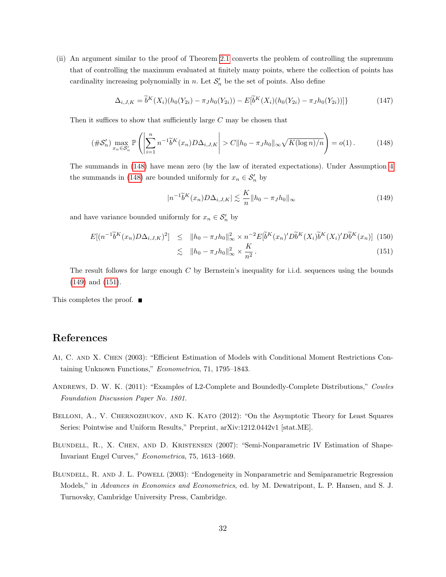(ii) An argument similar to the proof of Theorem [2.1](#page-8-0) converts the problem of controlling the supremum that of controlling the maximum evaluated at finitely many points, where the collection of points has cardinality increasing polynomially in n. Let  $\mathcal{S}'_n$  be the set of points. Also define

$$
\Delta_{i,J,K} = \tilde{b}^K(X_i)(h_0(Y_{2i}) - \pi_J h_0(Y_{2i})) - E[\tilde{b}^K(X_i)(h_0(Y_{2i}) - \pi_J h_0(Y_{2i}))]\}
$$
\n(147)

Then it suffices to show that sufficiently large  $C$  may be chosen that

<span id="page-33-5"></span>
$$
(\#\mathcal{S}'_n) \max_{x_n \in \mathcal{S}'_n} \mathbb{P}\left(\left|\sum_{i=1}^n n^{-1} \tilde{b}^K(x_n) D \Delta_{i,J,K}\right| > C \|h_0 - \pi_J h_0\|_{\infty} \sqrt{K(\log n)/n}\right) = o(1).
$$
 (148)

The summands in [\(148\)](#page-33-5) have mean zero (by the law of iterated expectations). Under Assumption [4](#page-8-1) the summands in [\(148\)](#page-33-5) are bounded uniformly for  $x_n \in \mathcal{S}'_n$  by

<span id="page-33-6"></span>
$$
|n^{-1}\widetilde{b}^{K}(x_{n})D\Delta_{i,J,K}| \lesssim \frac{K}{n}||h_{0} - \pi_{J}h_{0}||_{\infty}
$$
\n(149)

and have variance bounded uniformly for  $x_n \in \mathcal{S}'_n$  by

<span id="page-33-7"></span>
$$
E[(n^{-1}\tilde{b}^{K}(x_{n})D\Delta_{i,J,K})^{2}] \leq ||h_{0} - \pi_{J}h_{0}||_{\infty}^{2} \times n^{-2}E[\tilde{b}^{K}(x_{n})'D\tilde{b}^{K}(X_{i})\tilde{b}^{K}(X_{i})'D\tilde{b}^{K}(x_{n})] \tag{150}
$$

$$
\lesssim \quad \|h_0 - \pi_J h_0\|_{\infty}^2 \times \frac{\mathbf{A}}{n^2} \,. \tag{151}
$$

The result follows for large enough C by Bernstein's inequality for i.i.d. sequences using the bounds [\(149\)](#page-33-6) and [\(151\)](#page-33-7).

This completes the proof. ■

## References

- <span id="page-33-1"></span>Ai, C. and X. Chen (2003): "Efficient Estimation of Models with Conditional Moment Restrictions Containing Unknown Functions," Econometrica, 71, 1795–1843.
- <span id="page-33-3"></span>Andrews, D. W. K. (2011): "Examples of L2-Complete and Boundedly-Complete Distributions," Cowles Foundation Discussion Paper No. 1801.
- <span id="page-33-4"></span>BELLONI, A., V. CHERNOZHUKOV, AND K. KATO (2012): "On the Asymptotic Theory for Least Squares Series: Pointwise and Uniform Results," Preprint, arXiv:1212.0442v1 [stat.ME].
- <span id="page-33-2"></span>Blundell, R., X. Chen, and D. Kristensen (2007): "Semi-Nonparametric IV Estimation of Shape-Invariant Engel Curves," Econometrica, 75, 1613–1669.
- <span id="page-33-0"></span>Blundell, R. and J. L. Powell (2003): "Endogeneity in Nonparametric and Semiparametric Regression Models," in Advances in Economics and Econometrics, ed. by M. Dewatripont, L. P. Hansen, and S. J. Turnovsky, Cambridge University Press, Cambridge.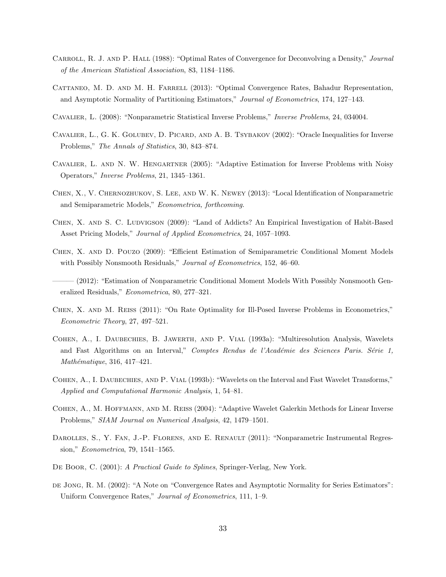- <span id="page-34-8"></span>Carroll, R. J. and P. Hall (1988): "Optimal Rates of Convergence for Deconvolving a Density," Journal of the American Statistical Association, 83, 1184–1186.
- <span id="page-34-12"></span>CATTANEO, M. D. AND M. H. FARRELL (2013): "Optimal Convergence Rates, Bahadur Representation, and Asymptotic Normality of Partitioning Estimators," Journal of Econometrics, 174, 127–143.
- <span id="page-34-7"></span>Cavalier, L. (2008): "Nonparametric Statistical Inverse Problems," Inverse Problems, 24, 034004.
- <span id="page-34-5"></span>CAVALIER, L., G. K. GOLUBEV, D. PICARD, AND A. B. TSYBAKOV (2002): "Oracle Inequalities for Inverse Problems," The Annals of Statistics, 30, 843–874.
- <span id="page-34-9"></span>Cavalier, L. and N. W. Hengartner (2005): "Adaptive Estimation for Inverse Problems with Noisy Operators," Inverse Problems, 21, 1345–1361.
- <span id="page-34-10"></span>Chen, X., V. Chernozhukov, S. Lee, and W. K. Newey (2013): "Local Identification of Nonparametric and Semiparametric Models," Econometrica, forthcoming.
- <span id="page-34-4"></span>CHEN, X. AND S. C. LUDVIGSON (2009): "Land of Addicts? An Empirical Investigation of Habit-Based Asset Pricing Models," Journal of Applied Econometrics, 24, 1057–1093.
- <span id="page-34-3"></span>Chen, X. and D. Pouzo (2009): "Efficient Estimation of Semiparametric Conditional Moment Models with Possibly Nonsmooth Residuals," *Journal of Econometrics*, 152, 46–60.
- <span id="page-34-1"></span>(2012): "Estimation of Nonparametric Conditional Moment Models With Possibly Nonsmooth Generalized Residuals," Econometrica, 80, 277–321.
- <span id="page-34-2"></span>Chen, X. and M. Reiss (2011): "On Rate Optimality for Ill-Posed Inverse Problems in Econometrics," Econometric Theory, 27, 497–521.
- <span id="page-34-14"></span>Cohen, A., I. Daubechies, B. Jawerth, and P. Vial (1993a): "Multiresolution Analysis, Wavelets and Fast Algorithms on an Interval," Comptes Rendus de l'Académie des Sciences Paris. Série 1,  $Mathématique, 316, 417-421.$
- <span id="page-34-15"></span>COHEN, A., I. DAUBECHIES, AND P. VIAL (1993b): "Wavelets on the Interval and Fast Wavelet Transforms," Applied and Computational Harmonic Analysis, 1, 54–81.
- <span id="page-34-6"></span>Cohen, A., M. Hoffmann, and M. Reiss (2004): "Adaptive Wavelet Galerkin Methods for Linear Inverse Problems," SIAM Journal on Numerical Analysis, 42, 1479–1501.
- <span id="page-34-0"></span>DAROLLES, S., Y. FAN, J.-P. FLORENS, AND E. RENAULT (2011): "Nonparametric Instrumental Regression," Econometrica, 79, 1541–1565.
- <span id="page-34-13"></span>DE BOOR, C. (2001): A Practical Guide to Splines, Springer-Verlag, New York.
- <span id="page-34-11"></span>de Jong, R. M. (2002): "A Note on "Convergence Rates and Asymptotic Normality for Series Estimators": Uniform Convergence Rates," Journal of Econometrics, 111, 1–9.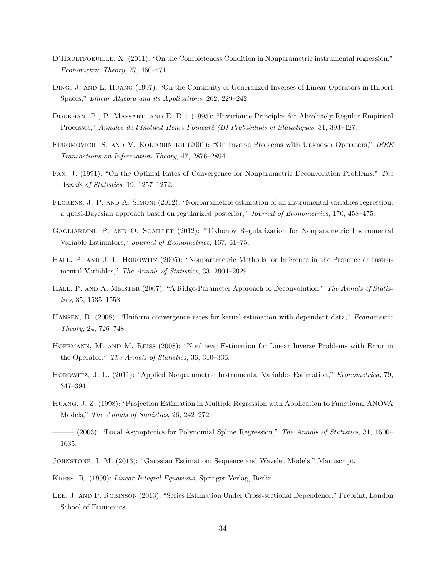- <span id="page-35-10"></span>D'HAULTFOEUILLE, X. (2011): "On the Completeness Condition in Nonparametric instrumental regression," Econometric Theory, 27, 460–471.
- <span id="page-35-16"></span>Ding, J. and L. Huang (1997): "On the Continuity of Generalized Inverses of Linear Operators in Hilbert Spaces," Linear Algebra and its Applications, 262, 229–242.
- <span id="page-35-14"></span>Doukhan, P., P. Massart, and E. Rio (1995): "Invariance Principles for Absolutely Regular Empirical Processes," Annales de l'Institut Henri Poincaré (B) Probabilités et Statistiques, 31, 393-427.
- <span id="page-35-8"></span>EFROMOVICH, S. AND V. KOLTCHINSKII (2001): "On Inverse Problems with Unknown Operators," IEEE Transactions on Information Theory, 47, 2876–2894.
- <span id="page-35-6"></span>Fan, J. (1991): "On the Optimal Rates of Convergence for Nonparametric Deconvolution Problems," The Annals of Statistics, 19, 1257–1272.
- <span id="page-35-3"></span>Florens, J.-P. and A. Simoni (2012): "Nonparametric estimation of an instrumental variables regression: a quasi-Bayesian approach based on regularized posterior," Journal of Econometrics, 170, 458–475.
- <span id="page-35-2"></span>GAGLIARDINI, P. AND O. SCAILLET (2012): "Tikhonov Regularization for Nonparametric Instrumental Variable Estimators," Journal of Econometrics, 167, 61–75.
- <span id="page-35-1"></span>HALL, P. AND J. L. HOROWITZ (2005): "Nonparametric Methods for Inference in the Presence of Instrumental Variables," The Annals of Statistics, 33, 2904–2929.
- <span id="page-35-7"></span>HALL, P. AND A. MEISTER (2007): "A Ridge-Parameter Approach to Deconvolution," The Annals of Statistics, 35, 1535–1558.
- <span id="page-35-13"></span>Hansen, B. (2008): "Uniform convergence rates for kernel estimation with dependent data," Econometric Theory, 24, 726–748.
- <span id="page-35-9"></span>Hoffmann, M. and M. Reiss (2008): "Nonlinear Estimation for Linear Inverse Problems with Error in the Operator," The Annals of Statistics, 36, 310–336.
- <span id="page-35-4"></span>Horowitz, J. L. (2011): "Applied Nonparametric Instrumental Variables Estimation," Econometrica, 79, 347–394.
- <span id="page-35-11"></span>Huang, J. Z. (1998): "Projection Estimation in Multiple Regression with Application to Functional ANOVA Models," The Annals of Statistics, 26, 242–272.
- <span id="page-35-5"></span>——— (2003): "Local Asymptotics for Polynomial Spline Regression," The Annals of Statistics, 31, 1600– 1635.
- <span id="page-35-15"></span>Johnstone, I. M. (2013): "Gaussian Estimation: Sequence and Wavelet Models," Manuscript.
- <span id="page-35-0"></span>Kress, R. (1999): Linear Integral Equations, Springer-Verlag, Berlin.
- <span id="page-35-12"></span>Lee, J. and P. Robinson (2013): "Series Estimation Under Cross-sectional Dependence," Preprint, London School of Economics.